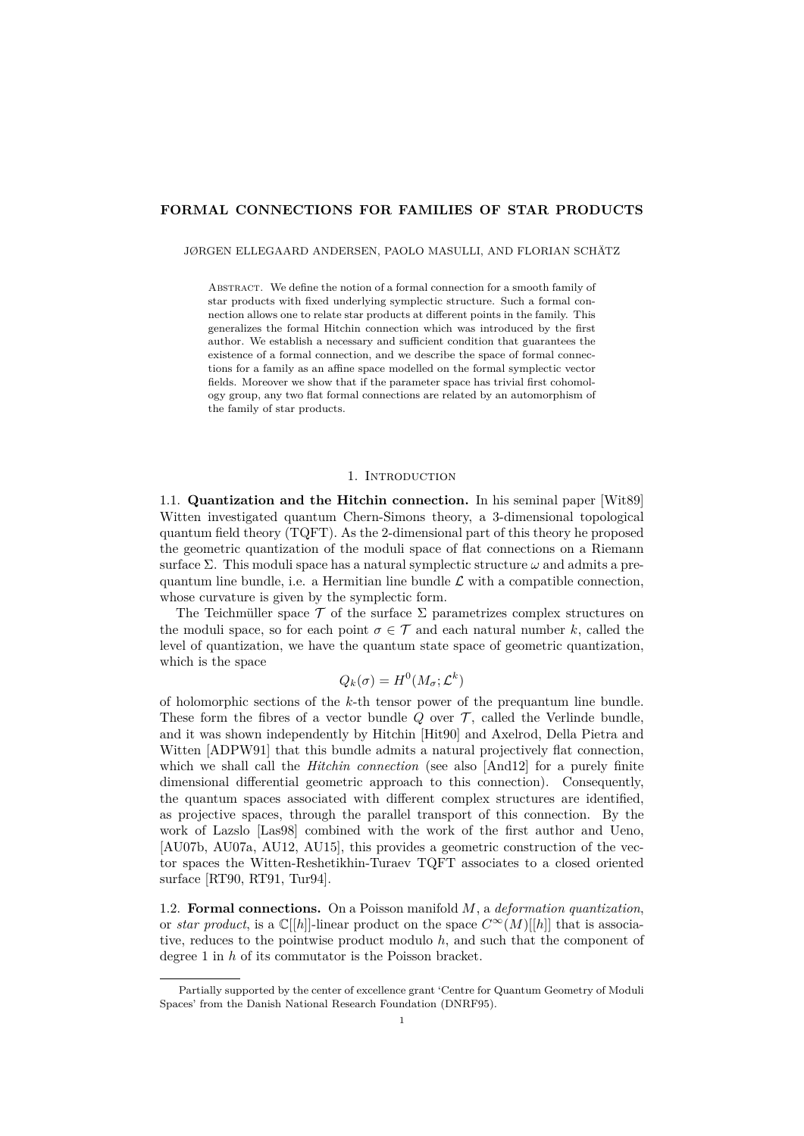# **FORMAL CONNECTIONS FOR FAMILIES OF STAR PRODUCTS**

JØRGEN ELLEGAARD ANDERSEN, PAOLO MASULLI, AND FLORIAN SCHÄTZ

ABSTRACT. We define the notion of a formal connection for a smooth family of star products with fixed underlying symplectic structure. Such a formal connection allows one to relate star products at different points in the family. This generalizes the formal Hitchin connection which was introduced by the first author. We establish a necessary and sufficient condition that guarantees the existence of a formal connection, and we describe the space of formal connections for a family as an affine space modelled on the formal symplectic vector fields. Moreover we show that if the parameter space has trivial first cohomology group, any two flat formal connections are related by an automorphism of the family of star products.

### 1. INTRODUCTION

1.1. **Quantization and the Hitchin connection.** In his seminal paper [\[Wit89\]](#page-25-0) Witten investigated quantum Chern-Simons theory, a 3-dimensional topological quantum field theory (TQFT). As the 2-dimensional part of this theory he proposed the geometric quantization of the moduli space of flat connections on a Riemann surface  $\Sigma$ . This moduli space has a natural symplectic structure  $\omega$  and admits a prequantum line bundle, i.e. a Hermitian line bundle  $\mathcal L$  with a compatible connection, whose curvature is given by the symplectic form.

The Teichmüller space  $\mathcal T$  of the surface  $\Sigma$  parametrizes complex structures on the moduli space, so for each point  $\sigma \in \mathcal{T}$  and each natural number *k*, called the level of quantization, we have the quantum state space of geometric quantization, which is the space

$$
Q_k(\sigma) = H^0(M_\sigma; \mathcal{L}^k)
$$

of holomorphic sections of the *k*-th tensor power of the prequantum line bundle. These form the fibres of a vector bundle  $Q$  over  $T$ , called the Verlinde bundle, and it was shown independently by Hitchin [\[Hit90\]](#page-25-1) and Axelrod, Della Pietra and Witten [\[ADPW91\]](#page-24-0) that this bundle admits a natural projectively flat connection, which we shall call the *Hitchin connection* (see also [\[And12\]](#page-24-1) for a purely finite dimensional differential geometric approach to this connection). Consequently, the quantum spaces associated with different complex structures are identified, as projective spaces, through the parallel transport of this connection. By the work of Lazslo [\[Las98\]](#page-25-2) combined with the work of the first author and Ueno, [\[AU07b,](#page-24-2) [AU07a,](#page-24-3) [AU12,](#page-24-4) [AU15\]](#page-24-5), this provides a geometric construction of the vector spaces the Witten-Reshetikhin-Turaev TQFT associates to a closed oriented surface [\[RT90,](#page-25-3) [RT91,](#page-25-4) [Tur94\]](#page-25-5).

1.2. **Formal connections.** On a Poisson manifold *M*, a *deformation quantization*, or *star product*, is a  $\mathbb{C}[[h]]$ -linear product on the space  $C^{\infty}(M)[[h]]$  that is associative, reduces to the pointwise product modulo *h*, and such that the component of degree 1 in *h* of its commutator is the Poisson bracket.

Partially supported by the center of excellence grant 'Centre for Quantum Geometry of Moduli Spaces' from the Danish National Research Foundation (DNRF95).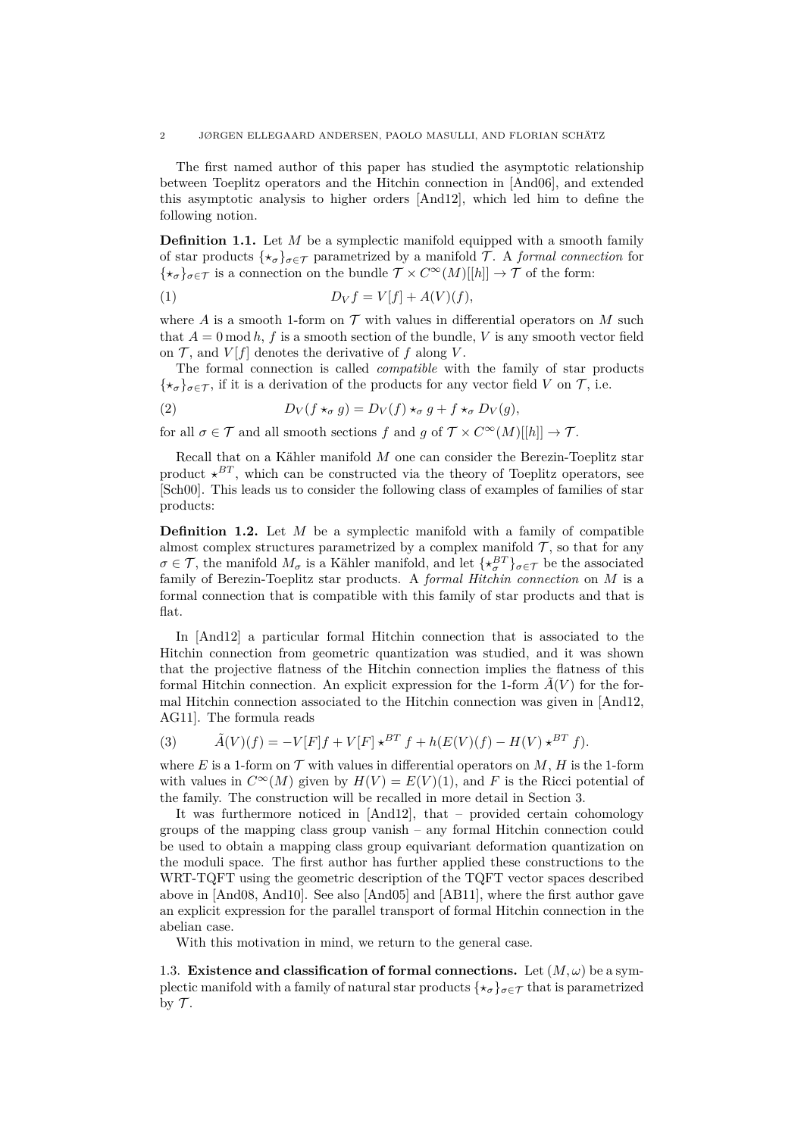2 JØRGEN ELLEGAARD ANDERSEN, PAOLO MASULLI, AND FLORIAN SCHÄTZ

The first named author of this paper has studied the asymptotic relationship between Toeplitz operators and the Hitchin connection in [\[And06\]](#page-24-6), and extended this asymptotic analysis to higher orders [\[And12\]](#page-24-1), which led him to define the following notion.

**Definition 1.1.** Let *M* be a symplectic manifold equipped with a smooth family of star products  $\{\star_{\sigma}\}_{{\sigma}\in\mathcal{T}}$  parametrized by a manifold T. A *formal connection* for  $\{\star_{\sigma}\}_{{\sigma}\in\mathcal{T}}$  is a connection on the bundle  $\mathcal{T} \times C^{\infty}(M)[[h]] \to \mathcal{T}$  of the form:

$$
(1) \t\t D_Vf = V[f] + A(V)(f),
$$

where A is a smooth 1-form on  $\mathcal T$  with values in differential operators on M such that  $A = 0 \mod h$ , f is a smooth section of the bundle, V is any smooth vector field on  $\mathcal{T}$ , and  $V[f]$  denotes the derivative of f along V.

The formal connection is called *compatible* with the family of star products  $\{\star_{\sigma}\}_{{\sigma}\in\mathcal{T}}$ , if it is a derivation of the products for any vector field *V* on  $\mathcal{T}$ , i.e.

(2) 
$$
D_V(f \star_\sigma g) = D_V(f) \star_\sigma g + f \star_\sigma D_V(g),
$$

for all  $\sigma \in \mathcal{T}$  and all smooth sections f and g of  $\mathcal{T} \times C^{\infty}(M)[[h]] \to \mathcal{T}$ .

Recall that on a Kähler manifold *M* one can consider the Berezin-Toeplitz star product  $\star^{BT}$ , which can be constructed via the theory of Toeplitz operators, see [\[Sch00\]](#page-25-6). This leads us to consider the following class of examples of families of star products:

**Definition 1.2.** Let *M* be a symplectic manifold with a family of compatible almost complex structures parametrized by a complex manifold  $\mathcal{T}$ , so that for any  $\sigma \in \mathcal{T}$ , the manifold  $M_{\sigma}$  is a Kähler manifold, and let  $\{\star_{\sigma}^{BT}\}_{\sigma \in \mathcal{T}}$  be the associated family of Berezin-Toeplitz star products. A *formal Hitchin connection* on *M* is a formal connection that is compatible with this family of star products and that is flat.

In [\[And12\]](#page-24-1) a particular formal Hitchin connection that is associated to the Hitchin connection from geometric quantization was studied, and it was shown that the projective flatness of the Hitchin connection implies the flatness of this formal Hitchin connection. An explicit expression for the 1-form  $\tilde{A}(V)$  for the formal Hitchin connection associated to the Hitchin connection was given in [\[And12,](#page-24-1) [AG11\]](#page-24-7). The formula reads

<span id="page-1-0"></span>(3) 
$$
\tilde{A}(V)(f) = -V[F]f + V[F] \star^{BT} f + h(E(V)(f) - H(V) \star^{BT} f).
$$

where *E* is a 1-form on  $\mathcal T$  with values in differential operators on *M*, *H* is the 1-form with values in  $C^{\infty}(M)$  given by  $H(V) = E(V)(1)$ , and F is the Ricci potential of the family. The construction will be recalled in more detail in Section [3.](#page-7-0)

It was furthermore noticed in [\[And12\]](#page-24-1), that – provided certain cohomology groups of the mapping class group vanish – any formal Hitchin connection could be used to obtain a mapping class group equivariant deformation quantization on the moduli space. The first author has further applied these constructions to the WRT-TQFT using the geometric description of the TQFT vector spaces described above in [\[And08,](#page-24-8) [And10\]](#page-24-9). See also [\[And05\]](#page-24-10) and [\[AB11\]](#page-24-11), where the first author gave an explicit expression for the parallel transport of formal Hitchin connection in the abelian case.

With this motivation in mind, we return to the general case.

1.3. **Existence and classification of formal connections.** Let  $(M, \omega)$  be a symplectic manifold with a family of natural star products  $\{\star_{\sigma}\}_{{\sigma}\in\mathcal{T}}$  that is parametrized by  $\mathcal T$ .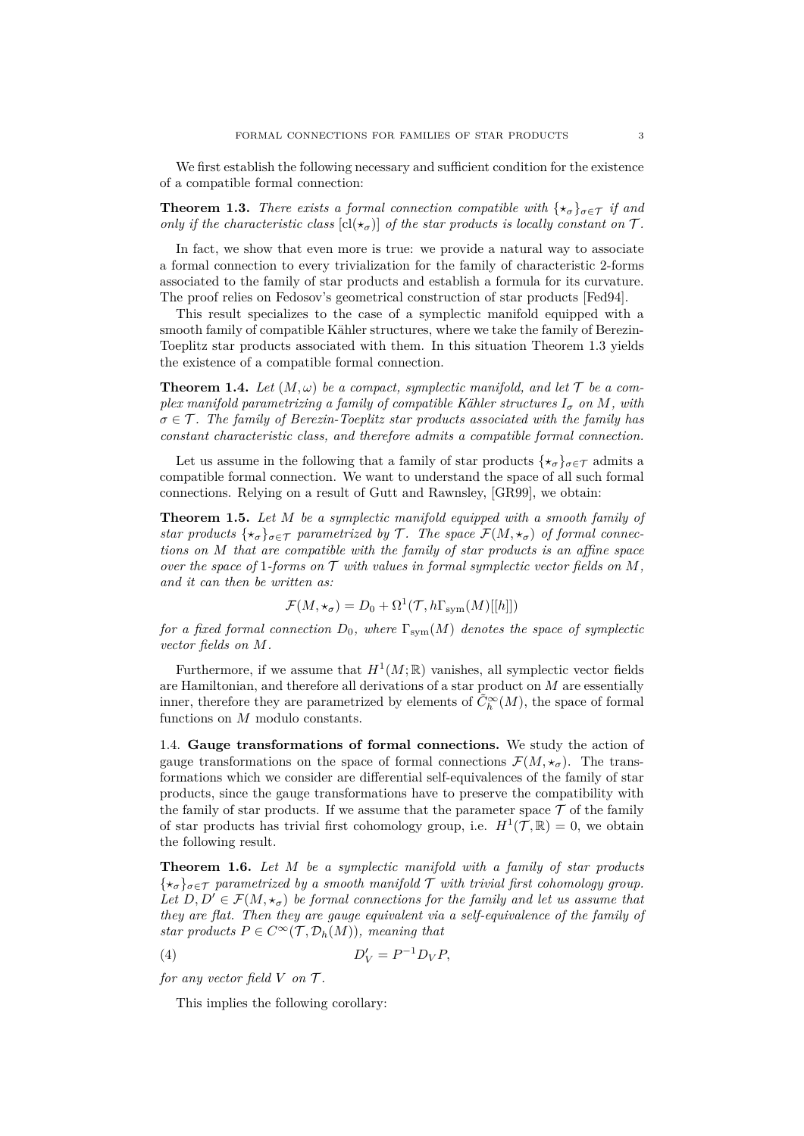We first establish the following necessary and sufficient condition for the existence of a compatible formal connection:

<span id="page-2-0"></span>**Theorem 1.3.** *There exists a formal connection compatible with*  $\{\star_{\sigma}\}_{{\sigma}\in\mathcal{T}}$  *if and only if the characteristic class*  $\left[c\right]\left(\star_{\sigma}\right)$  *of the star products is locally constant on*  $\mathcal{T}$ *.* 

In fact, we show that even more is true: we provide a natural way to associate a formal connection to every trivialization for the family of characteristic 2-forms associated to the family of star products and establish a formula for its curvature. The proof relies on Fedosov's geometrical construction of star products [\[Fed94\]](#page-24-12).

This result specializes to the case of a symplectic manifold equipped with a smooth family of compatible Kähler structures, where we take the family of Berezin-Toeplitz star products associated with them. In this situation Theorem [1.3](#page-2-0) yields the existence of a compatible formal connection.

**Theorem 1.4.** Let  $(M, \omega)$  be a compact, symplectic manifold, and let  $\mathcal{T}$  be a com*plex manifold parametrizing a family of compatible Kähler structures*  $I_{\sigma}$  *on*  $M$ *, with*  $\sigma \in \mathcal{T}$ *. The family of Berezin-Toeplitz star products associated with the family has constant characteristic class, and therefore admits a compatible formal connection.*

Let us assume in the following that a family of star products  $\{\star_{\sigma}\}_{{\sigma}\in\mathcal{T}}$  admits a compatible formal connection. We want to understand the space of all such formal connections. Relying on a result of Gutt and Rawnsley, [\[GR99\]](#page-25-7), we obtain:

**Theorem 1.5.** *Let M be a symplectic manifold equipped with a smooth family of star products*  $\{ \star_{\sigma} \}_{\sigma \in \mathcal{T}}$  *parametrized by* T. The space  $\mathcal{F}(M, \star_{\sigma})$  of formal connec*tions on M that are compatible with the family of star products is an affine space over the space of* 1*-forms on*  $\mathcal T$  *with values in formal symplectic vector fields on*  $M$ , *and it can then be written as:*

$$
\mathcal{F}(M, \star_{\sigma}) = D_0 + \Omega^1(\mathcal{T}, h\Gamma_{sym}(M)[[h]])
$$

*for a fixed formal connection*  $D_0$ *, where*  $\Gamma_{sym}(M)$  *denotes the space of symplectic vector fields on M.*

Furthermore, if we assume that  $H^1(M; \mathbb{R})$  vanishes, all symplectic vector fields are Hamiltonian, and therefore all derivations of a star product on *M* are essentially inner, therefore they are parametrized by elements of  $\tilde{C}_{h}^{\infty}(M)$ , the space of formal functions on *M* modulo constants.

1.4. **Gauge transformations of formal connections.** We study the action of gauge transformations on the space of formal connections  $\mathcal{F}(M, \star_{\sigma})$ . The transformations which we consider are differential self-equivalences of the family of star products, since the gauge transformations have to preserve the compatibility with the family of star products. If we assume that the parameter space  $\mathcal T$  of the family of star products has trivial first cohomology group, i.e.  $H^1(\mathcal{T}, \mathbb{R}) = 0$ , we obtain the following result.

**Theorem 1.6.** *Let M be a symplectic manifold with a family of star products*  $\{\star_{\sigma}\}_{{\sigma}\in\mathcal{T}}$  parametrized by a smooth manifold  $\mathcal T$  with trivial first cohomology group. Let  $D, D' \in \mathcal{F}(M, \star_{\sigma})$  be formal connections for the family and let us assume that *they are flat. Then they are gauge equivalent via a self-equivalence of the family of star products*  $P \in C^{\infty}(\mathcal{T}, \mathcal{D}_h(M))$ *, meaning that* 

$$
(4) \t\t D'_V = P^{-1}D_VP,
$$

*for any vector field*  $V$  *on*  $\mathcal{T}$ *.* 

This implies the following corollary: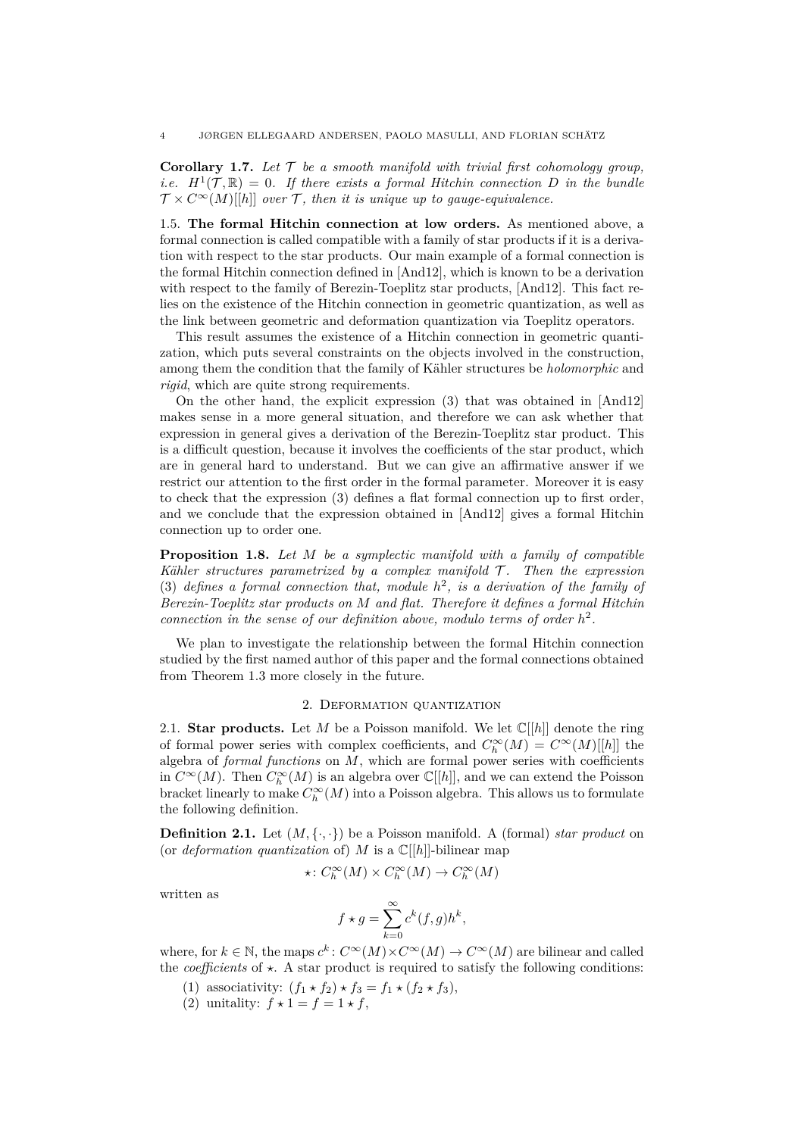**Corollary 1.7.** Let  $\mathcal T$  be a smooth manifold with trivial first cohomology group, *i.e.*  $H^1(\mathcal{T}, \mathbb{R}) = 0$ . If there exists a formal Hitchin connection *D* in the bundle  $\mathcal{T} \times C^{\infty}(M)[[h]]$  *over*  $\mathcal{T}$ *, then it is unique up to gauge-equivalence.* 

1.5. **The formal Hitchin connection at low orders.** As mentioned above, a formal connection is called compatible with a family of star products if it is a derivation with respect to the star products. Our main example of a formal connection is the formal Hitchin connection defined in [\[And12\]](#page-24-1), which is known to be a derivation with respect to the family of Berezin-Toeplitz star products, [\[And12\]](#page-24-1). This fact relies on the existence of the Hitchin connection in geometric quantization, as well as the link between geometric and deformation quantization via Toeplitz operators.

This result assumes the existence of a Hitchin connection in geometric quantization, which puts several constraints on the objects involved in the construction, among them the condition that the family of Kähler structures be *holomorphic* and *rigid*, which are quite strong requirements.

On the other hand, the explicit expression [\(3\)](#page-1-0) that was obtained in [\[And12\]](#page-24-1) makes sense in a more general situation, and therefore we can ask whether that expression in general gives a derivation of the Berezin-Toeplitz star product. This is a difficult question, because it involves the coefficients of the star product, which are in general hard to understand. But we can give an affirmative answer if we restrict our attention to the first order in the formal parameter. Moreover it is easy to check that the expression [\(3\)](#page-1-0) defines a flat formal connection up to first order, and we conclude that the expression obtained in [\[And12\]](#page-24-1) gives a formal Hitchin connection up to order one.

**Proposition 1.8.** *Let M be a symplectic manifold with a family of compatible Kähler structures parametrized by a complex manifold*  $\mathcal{T}$ *. Then the expression* [\(3\)](#page-1-0) *defines a formal connection that, module*  $h^2$ , *is a derivation of the family of Berezin-Toeplitz star products on M and flat. Therefore it defines a formal Hitchin connection in the sense of our definition above, modulo terms of order*  $h^2$ .

We plan to investigate the relationship between the formal Hitchin connection studied by the first named author of this paper and the formal connections obtained from Theorem [1.3](#page-2-0) more closely in the future.

### 2. Deformation quantization

2.1. **Star products.** Let *M* be a Poisson manifold. We let  $\mathbb{C}[[h]]$  denote the ring of formal power series with complex coefficients, and  $C_h^{\infty}(M) = C^{\infty}(M)[[h]]$  the algebra of *formal functions* on *M*, which are formal power series with coefficients in  $C^{\infty}(M)$ . Then  $C^{\infty}_h(M)$  is an algebra over  $\mathbb{C}[[h]]$ , and we can extend the Poisson bracket linearly to make  $C_h^{\infty}(M)$  into a Poisson algebra. This allows us to formulate the following definition.

**Definition 2.1.** Let  $(M, \{ \cdot, \cdot \})$  be a Poisson manifold. A (formal) *star product* on (or *deformation quantization* of) *M* is a  $\mathbb{C}[[h]]$ -bilinear map

$$
\star\colon C^\infty_h(M)\times C^\infty_h(M)\to C^\infty_h(M)
$$

written as

$$
f\star g=\sum_{k=0}^\infty c^k(f,g)h^k,
$$

where, for  $k \in \mathbb{N}$ , the maps  $c^k$ :  $C^{\infty}(M) \times C^{\infty}(M) \to C^{\infty}(M)$  are bilinear and called the *coefficients* of  $\star$ . A star product is required to satisfy the following conditions:

- (1) associativity:  $(f_1 \star f_2) \star f_3 = f_1 \star (f_2 \star f_3),$
- (2) unitality:  $f \star 1 = f = 1 \star f$ ,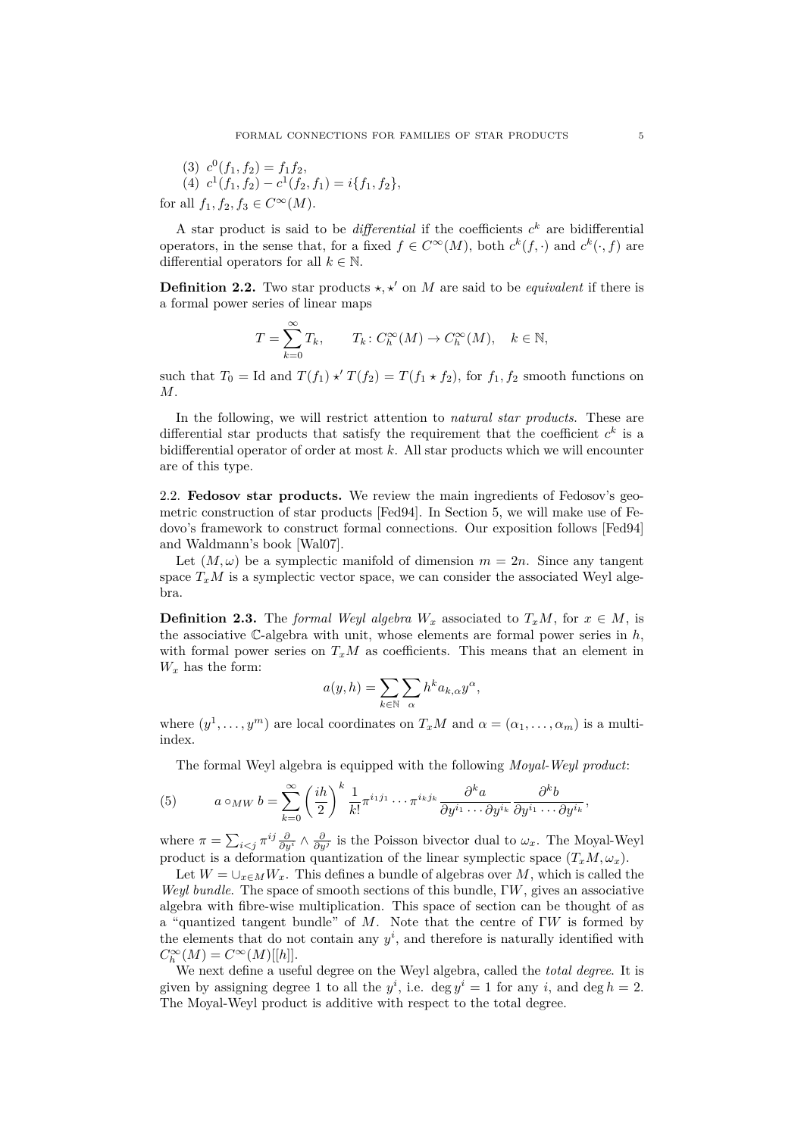(3) 
$$
c^0(f_1, f_2) = f_1 f_2,
$$
  
\n(4)  $c^1(f_1, f_2) - c^1(f_2, f_1) = i\{f_1, f_2\},$   
\nfor all  $f_1, f_2, f_3 \in C^\infty(M).$ 

A star product is said to be *differential* if the coefficients  $c^k$  are bidifferential operators, in the sense that, for a fixed  $f \in C^{\infty}(M)$ , both  $c^{k}(f, \cdot)$  and  $c^{k}(\cdot, f)$  are differential operators for all  $k \in \mathbb{N}$ .

**Definition 2.2.** Two star products  $\star$ ,  $\star'$  on *M* are said to be *equivalent* if there is a formal power series of linear maps

$$
T = \sum_{k=0}^{\infty} T_k, \qquad T_k \colon C_h^{\infty}(M) \to C_h^{\infty}(M), \quad k \in \mathbb{N},
$$

such that  $T_0 = \text{Id}$  and  $T(f_1) \star T(f_2) = T(f_1 \star f_2)$ , for  $f_1, f_2$  smooth functions on *M*.

In the following, we will restrict attention to *natural star products*. These are differential star products that satisfy the requirement that the coefficient  $c^k$  is a bidifferential operator of order at most *k*. All star products which we will encounter are of this type.

<span id="page-4-0"></span>2.2. **Fedosov star products.** We review the main ingredients of Fedosov's geometric construction of star products [\[Fed94\]](#page-24-12). In Section [5,](#page-17-0) we will make use of Fedovo's framework to construct formal connections. Our exposition follows [\[Fed94\]](#page-24-12) and Waldmann's book [\[Wal07\]](#page-25-8).

Let  $(M, \omega)$  be a symplectic manifold of dimension  $m = 2n$ . Since any tangent space  $T_xM$  is a symplectic vector space, we can consider the associated Weyl algebra.

**Definition 2.3.** The *formal Weyl algebra*  $W_x$  associated to  $T_xM$ , for  $x \in M$ , is the associative C-algebra with unit, whose elements are formal power series in *h*, with formal power series on  $T_xM$  as coefficients. This means that an element in  $W_x$  has the form:

$$
a(y, h) = \sum_{k \in \mathbb{N}} \sum_{\alpha} h^k a_{k, \alpha} y^{\alpha},
$$

where  $(y^1, \ldots, y^m)$  are local coordinates on  $T_xM$  and  $\alpha = (\alpha_1, \ldots, \alpha_m)$  is a multiindex.

The formal Weyl algebra is equipped with the following *Moyal-Weyl product*:

(5) 
$$
a\circ_{MW}b=\sum_{k=0}^{\infty}\left(\frac{ih}{2}\right)^k\frac{1}{k!}\pi^{i_1j_1}\cdots\pi^{i_kj_k}\frac{\partial^ka}{\partial y^{i_1}\cdots\partial y^{i_k}}\frac{\partial^kb}{\partial y^{i_1}\cdots\partial y^{i_k}},
$$

where  $\pi = \sum_{i \leq j} \pi^{ij} \frac{\partial}{\partial y^i} \wedge \frac{\partial}{\partial y^j}$  is the Poisson bivector dual to  $\omega_x$ . The Moyal-Weyl product is a deformation quantization of the linear symplectic space  $(T_xM, \omega_x)$ .

Let  $W = \bigcup_{x \in M} W_x$ . This defines a bundle of algebras over M, which is called the *Weyl bundle*. The space of smooth sections of this bundle, Γ*W*, gives an associative algebra with fibre-wise multiplication. This space of section can be thought of as a "quantized tangent bundle" of *M*. Note that the centre of Γ*W* is formed by the elements that do not contain any  $y^i$ , and therefore is naturally identified with  $C_h^{\infty}(M) = C^{\infty}(M)[[h]].$ 

We next define a useful degree on the Weyl algebra, called the *total degree*. It is given by assigning degree 1 to all the  $y^i$ , i.e. deg  $y^i = 1$  for any *i*, and deg  $h = 2$ . The Moyal-Weyl product is additive with respect to the total degree.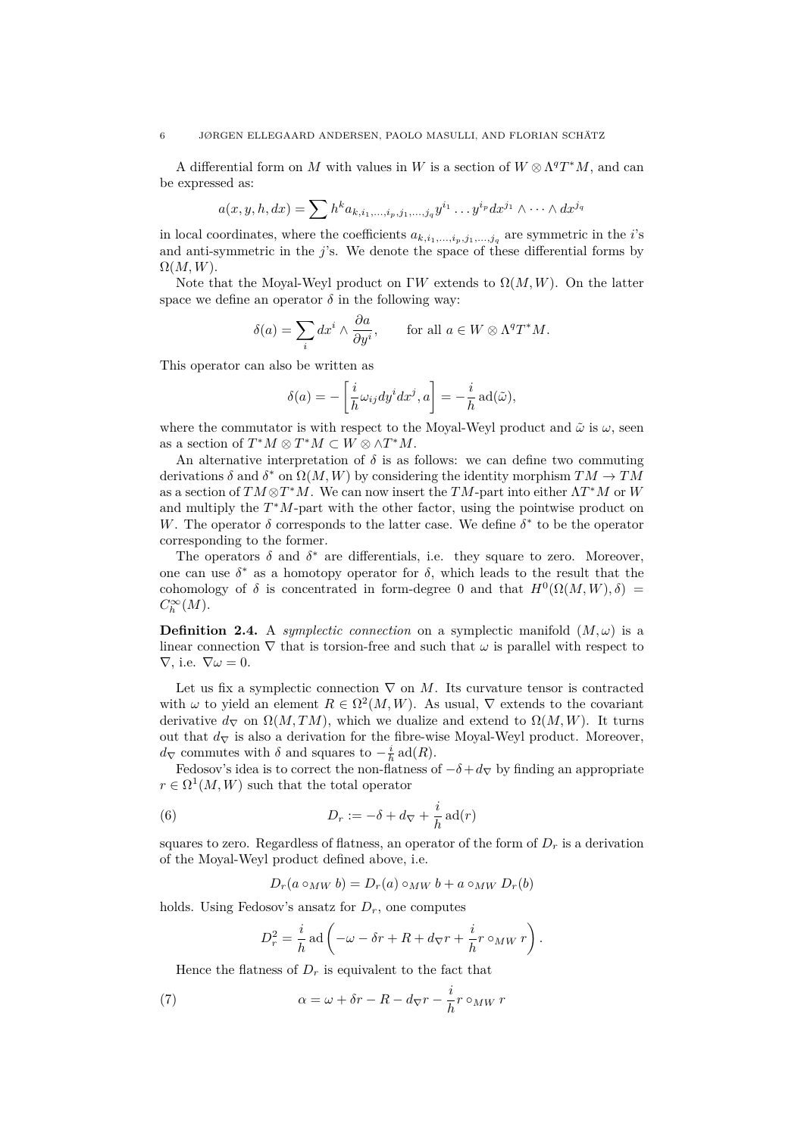A differential form on *M* with values in *W* is a section of  $W \otimes \Lambda^q T^*M$ , and can be expressed as:

$$
a(x, y, h, dx) = \sum h^k a_{k, i_1, \dots, i_p, j_1, \dots, j_q} y^{i_1} \dots y^{i_p} dx^{j_1} \wedge \dots \wedge dx^{j_q}
$$

in local coordinates, where the coefficients  $a_{k,i_1,\ldots,i_p,j_1,\ldots,j_q}$  are symmetric in the *i*'s and anti-symmetric in the *j*'s. We denote the space of these differential forms by  $\Omega(M,W)$ .

Note that the Moyal-Weyl product on  $\Gamma W$  extends to  $\Omega(M,W)$ . On the latter space we define an operator  $\delta$  in the following way:

$$
\delta(a) = \sum_{i} dx^{i} \wedge \frac{\partial a}{\partial y^{i}}, \quad \text{for all } a \in W \otimes \Lambda^{q}T^{*}M.
$$

This operator can also be written as

$$
\delta(a) = -\left[\frac{i}{h}\omega_{ij}dy^idx^j, a\right] = -\frac{i}{h}\operatorname{ad}(\tilde{\omega}),
$$

where the commutator is with respect to the Moyal-Weyl product and  $\tilde{\omega}$  is  $\omega$ , seen as a section of  $T^*M \otimes T^*M \subset W \otimes \wedge T^*M$ .

An alternative interpretation of  $\delta$  is as follows: we can define two commuting derivations  $\delta$  and  $\delta^*$  on  $\Omega(M, W)$  by considering the identity morphism  $TM \to TM$ as a section of  $TM \otimes T^*M$ . We can now insert the  $TM$ -part into either  $\Lambda T^*M$  or W and multiply the *T* <sup>∗</sup>*M*-part with the other factor, using the pointwise product on *W*. The operator  $\delta$  corresponds to the latter case. We define  $\delta^*$  to be the operator corresponding to the former.

The operators  $\delta$  and  $\delta^*$  are differentials, i.e. they square to zero. Moreover, one can use  $\delta^*$  as a homotopy operator for  $\delta$ , which leads to the result that the cohomology of  $\delta$  is concentrated in form-degree 0 and that  $H^0(\Omega(M, W), \delta)$  $C_h^{\infty}(M)$ .

**Definition 2.4.** A *symplectic connection* on a symplectic manifold  $(M,\omega)$  is a linear connection  $\nabla$  that is torsion-free and such that  $\omega$  is parallel with respect to  $\nabla$ , i.e.  $\nabla \omega = 0$ .

Let us fix a symplectic connection  $\nabla$  on M. Its curvature tensor is contracted with  $\omega$  to yield an element  $R \in \Omega^2(M, W)$ . As usual,  $\nabla$  extends to the covariant derivative  $d_{\nabla}$  on  $\Omega(M, TM)$ , which we dualize and extend to  $\Omega(M, W)$ . It turns out that  $d<sub>∇</sub>$  is also a derivation for the fibre-wise Moyal-Weyl product. Moreover, *d* $\triangledown$  commutes with *δ* and squares to  $-\frac{i}{h}$  ad(*R*).

Fedosov's idea is to correct the non-flatness of  $-\delta + d_{\nabla}$  by finding an appropriate  $r \in \Omega^1(M, W)$  such that the total operator

(6) 
$$
D_r := -\delta + d_{\nabla} + \frac{i}{h} \operatorname{ad}(r)
$$

squares to zero. Regardless of flatness, an operator of the form of  $D_r$  is a derivation of the Moyal-Weyl product defined above, i.e.

<span id="page-5-0"></span> $D_r(a \circ_M w b) = D_r(a) \circ_M w b + a \circ_M w D_r(b)$ 

holds. Using Fedosov's ansatz for  $D_r$ , one computes

$$
D_r^2 = \frac{i}{h} \operatorname{ad} \left( -\omega - \delta r + R + d_{\nabla} r + \frac{i}{h} r \circ_{MW} r \right).
$$

Hence the flatness of  $D_r$  is equivalent to the fact that

(7) 
$$
\alpha = \omega + \delta r - R - d_{\nabla} r - \frac{i}{h} r \circ_{MW} r
$$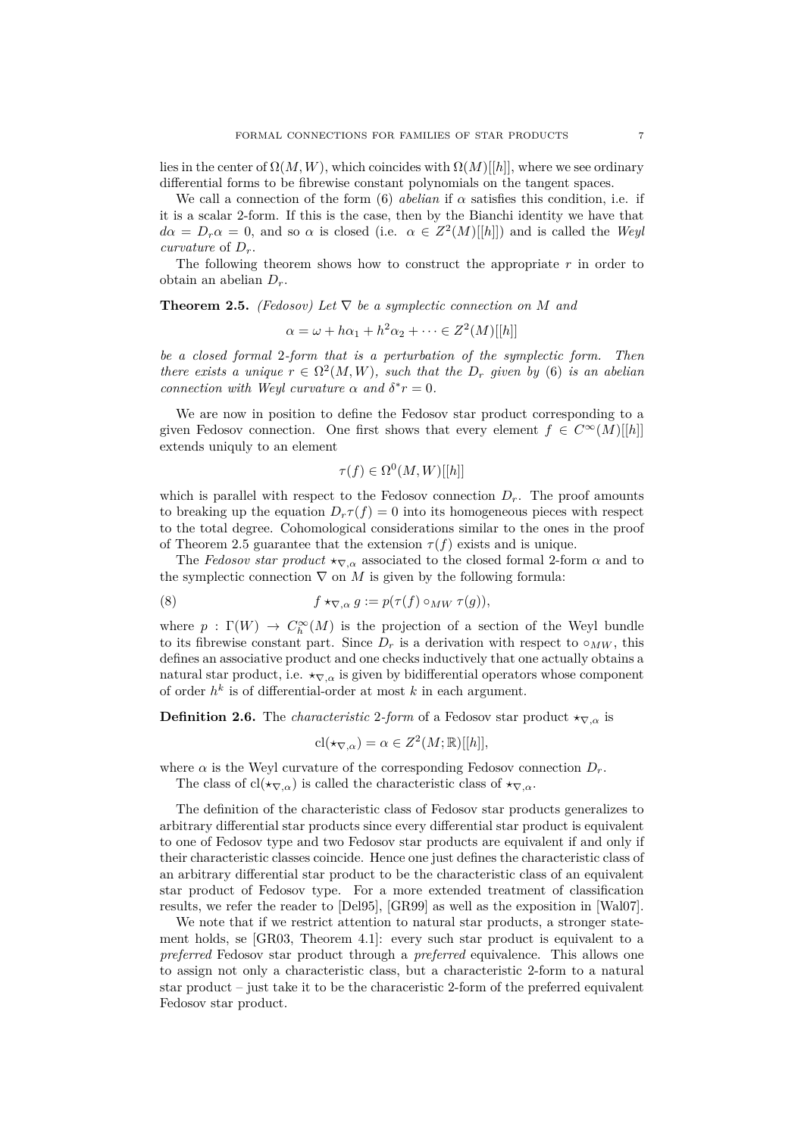lies in the center of  $\Omega(M, W)$ , which coincides with  $\Omega(M)[[h]]$ , where we see ordinary differential forms to be fibrewise constant polynomials on the tangent spaces.

We call a connection of the form [\(6\)](#page-5-0) *abelian* if  $\alpha$  satisfies this condition, i.e. if it is a scalar 2-form. If this is the case, then by the Bianchi identity we have that  $d\alpha = D_r \alpha = 0$ , and so  $\alpha$  is closed (i.e.  $\alpha \in Z^2(M)[[h]]$ ) and is called the *Weyl curvature* of *Dr*.

The following theorem shows how to construct the appropriate *r* in order to obtain an abelian *Dr*.

<span id="page-6-0"></span>**Theorem 2.5.** *(Fedosov)* Let  $\nabla$  *be a symplectic connection on M and* 

$$
\alpha = \omega + h\alpha_1 + h^2\alpha_2 + \dots \in Z^2(M)[[h]]
$$

*be a closed formal* 2*-form that is a perturbation of the symplectic form. Then there exists a unique*  $r \in \Omega^2(M, W)$ *, such that the*  $D_r$  *given by* [\(6\)](#page-5-0) *is an abelian connection with Weyl curvature*  $\alpha$  *and*  $\delta^* r = 0$ *.* 

We are now in position to define the Fedosov star product corresponding to a given Fedosov connection. One first shows that every element  $f \in C^{\infty}(M)[h]$ extends uniquly to an element

$$
\tau(f) \in \Omega^0(M, W)[[h]]
$$

which is parallel with respect to the Fedosov connection  $D_r$ . The proof amounts to breaking up the equation  $D_r \tau(f) = 0$  into its homogeneous pieces with respect to the total degree. Cohomological considerations similar to the ones in the proof of Theorem [2.5](#page-6-0) guarantee that the extension  $\tau(f)$  exists and is unique.

The *Fedosov star product*  $\star_{\nabla} \alpha$  associated to the closed formal 2-form  $\alpha$  and to the symplectic connection  $\nabla$  on *M* is given by the following formula:

(8) 
$$
f \star_{\nabla, \alpha} g := p(\tau(f) \circ_{MW} \tau(g)),
$$

where  $p : \Gamma(W) \to C_h^{\infty}(M)$  is the projection of a section of the Weyl bundle to its fibrewise constant part. Since  $D_r$  is a derivation with respect to  $\circ_{MW}$ , this defines an associative product and one checks inductively that one actually obtains a natural star product, i.e.  $\star_{\nabla,\alpha}$  is given by bidifferential operators whose component of order *h k* is of differential-order at most *k* in each argument.

**Definition 2.6.** The *characteristic* 2*-form* of a Fedosov star product  $\star_{\nabla} \alpha$  is

$$
\mathrm{cl}(\star_{\nabla,\alpha}) = \alpha \in Z^2(M;\mathbb{R})[[h]],
$$

where  $\alpha$  is the Weyl curvature of the corresponding Fedosov connection  $D_r$ .

The class of cl( $\star_{\nabla,\alpha}$ ) is called the characteristic class of  $\star_{\nabla,\alpha}$ .

The definition of the characteristic class of Fedosov star products generalizes to arbitrary differential star products since every differential star product is equivalent to one of Fedosov type and two Fedosov star products are equivalent if and only if their characteristic classes coincide. Hence one just defines the characteristic class of an arbitrary differential star product to be the characteristic class of an equivalent star product of Fedosov type. For a more extended treatment of classification results, we refer the reader to [\[Del95\]](#page-24-13), [\[GR99\]](#page-25-7) as well as the exposition in [\[Wal07\]](#page-25-8).

We note that if we restrict attention to natural star products, a stronger statement holds, se [\[GR03,](#page-25-9) Theorem 4.1]: every such star product is equivalent to a *preferred* Fedosov star product through a *preferred* equivalence. This allows one to assign not only a characteristic class, but a characteristic 2-form to a natural star product – just take it to be the characeristic 2-form of the preferred equivalent Fedosov star product.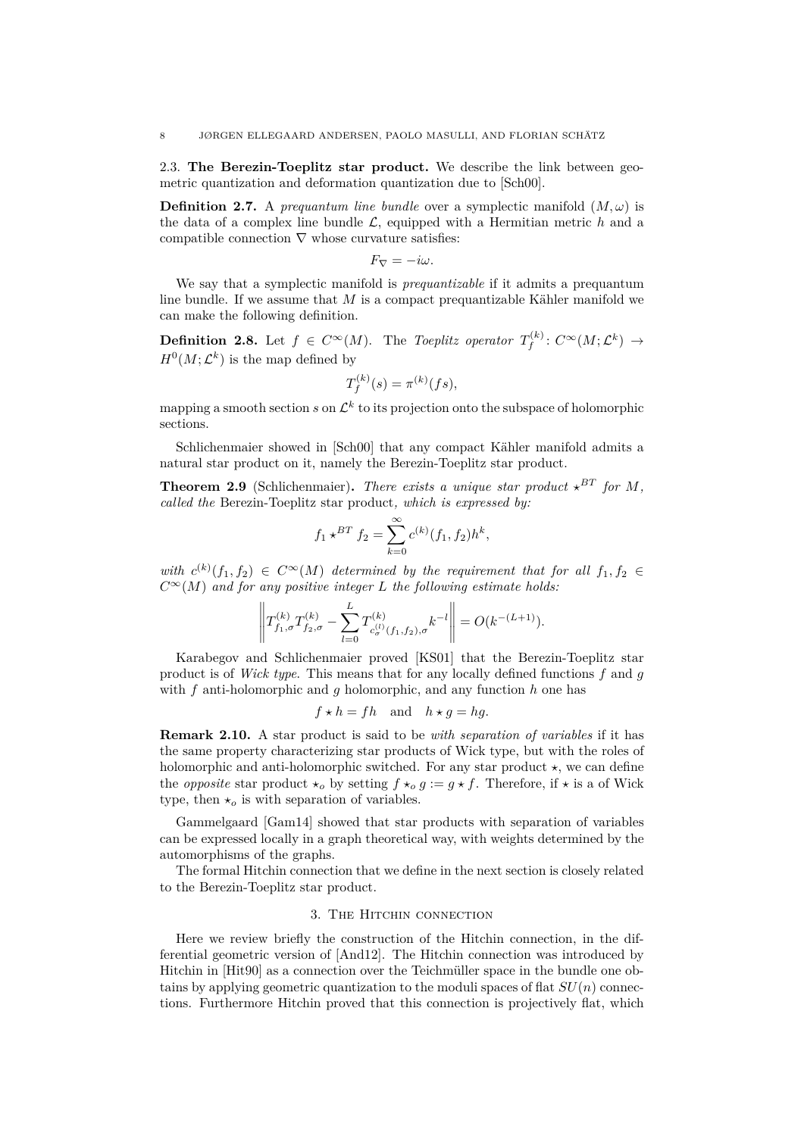<span id="page-7-1"></span>2.3. **The Berezin-Toeplitz star product.** We describe the link between geometric quantization and deformation quantization due to [\[Sch00\]](#page-25-6).

**Definition 2.7.** A *prequantum line bundle* over a symplectic manifold  $(M,\omega)$  is the data of a complex line bundle  $\mathcal{L}$ , equipped with a Hermitian metric  $h$  and a compatible connection  $\nabla$  whose curvature satisfies:

$$
F_{\nabla}=-i\omega.
$$

We say that a symplectic manifold is *prequantizable* if it admits a prequantum line bundle. If we assume that *M* is a compact prequantizable Kähler manifold we can make the following definition.

**Definition 2.8.** Let  $f \in C^{\infty}(M)$ . The *Toeplitz operator*  $T_f^{(k)}$  $f^{(k)}_f\colon C^\infty(M; \mathcal{L}^k)\ \rightarrow$  $H^0(M; \mathcal{L}^k)$  is the map defined by

$$
T_f^{(k)}(s) = \pi^{(k)}(fs),
$$

mapping a smooth section  $s$  on  $\mathcal{L}^k$  to its projection onto the subspace of holomorphic sections.

Schlichenmaier showed in [\[Sch00\]](#page-25-6) that any compact Kähler manifold admits a natural star product on it, namely the Berezin-Toeplitz star product.

**Theorem 2.9** (Schlichenmaier). There exists a unique star product  $\star^{BT}$  for M, *called the* Berezin-Toeplitz star product*, which is expressed by:*

$$
f_1 \star^{BT} f_2 = \sum_{k=0}^{\infty} c^{(k)}(f_1, f_2) h^k
$$

 $with \ c^{(k)}(f_1, f_2) \in C^{\infty}(M)$  determined by the requirement that for all  $f_1, f_2 \in$  $C^{\infty}(M)$  *and for any positive integer L the following estimate holds:* 

$$
\left\| T_{f_1,\sigma}^{(k)} T_{f_2,\sigma}^{(k)} - \sum_{l=0}^{L} T_{c_{\sigma}^{(l)}(f_1,f_2),\sigma}^{(k)} k^{-l} \right\| = O(k^{-(L+1)}).
$$

Karabegov and Schlichenmaier proved [\[KS01\]](#page-25-10) that the Berezin-Toeplitz star product is of *Wick type*. This means that for any locally defined functions *f* and *g* with *f* anti-holomorphic and *g* holomorphic, and any function *h* one has

$$
f \star h = fh
$$
 and  $h \star g = hg$ .

**Remark 2.10.** A star product is said to be *with separation of variables* if it has the same property characterizing star products of Wick type, but with the roles of holomorphic and anti-holomorphic switched. For any star product  $\star$ , we can define the *opposite* star product  $\star_o$  by setting  $f \star_o g := g \star f$ . Therefore, if  $\star$  is a of Wick type, then  $\star_o$  is with separation of variables.

Gammelgaard [\[Gam14\]](#page-24-14) showed that star products with separation of variables can be expressed locally in a graph theoretical way, with weights determined by the automorphisms of the graphs.

The formal Hitchin connection that we define in the next section is closely related to the Berezin-Toeplitz star product.

## 3. The Hitchin connection

<span id="page-7-0"></span>Here we review briefly the construction of the Hitchin connection, in the differential geometric version of [\[And12\]](#page-24-1). The Hitchin connection was introduced by Hitchin in [\[Hit90\]](#page-25-1) as a connection over the Teichmüller space in the bundle one obtains by applying geometric quantization to the moduli spaces of flat *SU*(*n*) connections. Furthermore Hitchin proved that this connection is projectively flat, which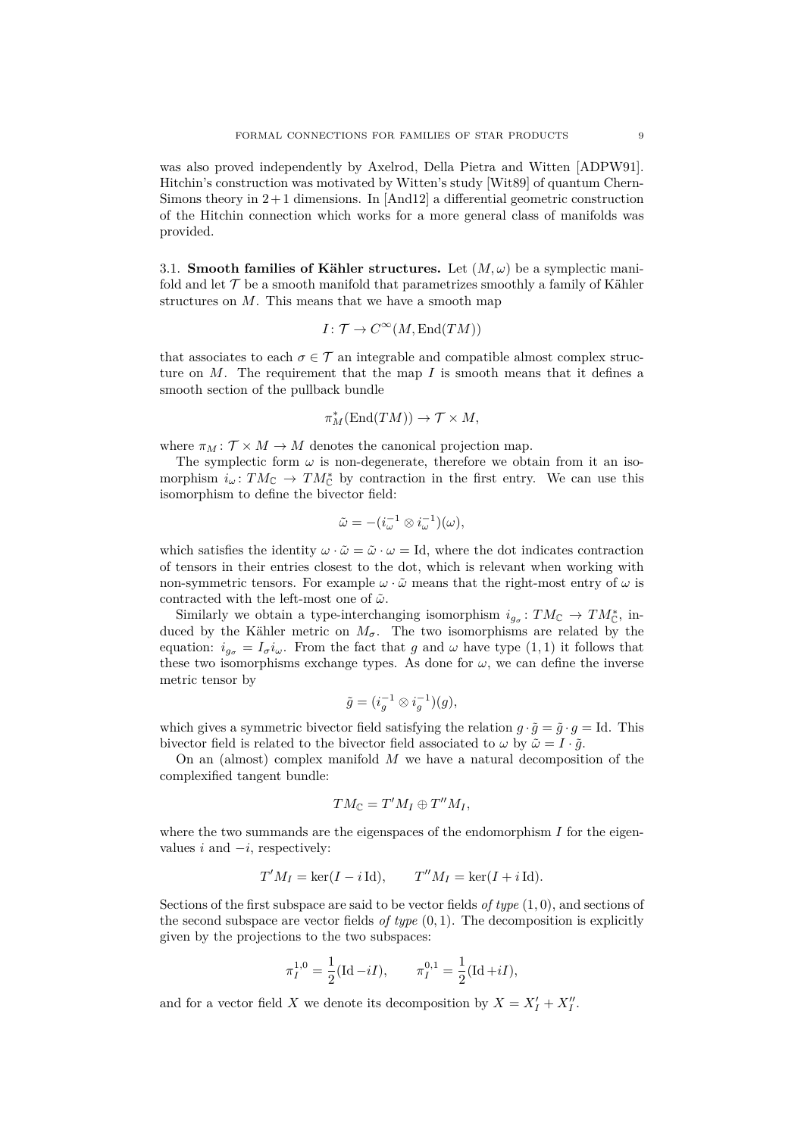was also proved independently by Axelrod, Della Pietra and Witten [\[ADPW91\]](#page-24-0). Hitchin's construction was motivated by Witten's study [\[Wit89\]](#page-25-0) of quantum Chern-Simons theory in  $2+1$  dimensions. In [\[And12\]](#page-24-1) a differential geometric construction of the Hitchin connection which works for a more general class of manifolds was provided.

3.1. **Smooth families of Kähler structures.** Let  $(M,\omega)$  be a symplectic manifold and let  $\mathcal T$  be a smooth manifold that parametrizes smoothly a family of Kähler structures on *M*. This means that we have a smooth map

$$
I\colon \mathcal{T}\to C^\infty(M,\mathrm{End}(TM))
$$

that associates to each  $\sigma \in \mathcal{T}$  an integrable and compatible almost complex structure on *M*. The requirement that the map *I* is smooth means that it defines a smooth section of the pullback bundle

$$
\pi_M^*({\rm End}(TM))\to {\mathcal T}\times M,
$$

where  $\pi_M : \mathcal{T} \times M \to M$  denotes the canonical projection map.

The symplectic form  $\omega$  is non-degenerate, therefore we obtain from it an isomorphism  $i_\omega: TM_{\mathbb{C}} \to TM_{\mathbb{C}}^*$  by contraction in the first entry. We can use this isomorphism to define the bivector field:

$$
\tilde{\omega} = -(i_{\omega}^{-1} \otimes i_{\omega}^{-1})(\omega),
$$

which satisfies the identity  $\omega \cdot \tilde{\omega} = \tilde{\omega} \cdot \omega = Id$ , where the dot indicates contraction of tensors in their entries closest to the dot, which is relevant when working with non-symmetric tensors. For example  $\omega \cdot \tilde{\omega}$  means that the right-most entry of  $\omega$  is contracted with the left-most one of  $\tilde{\omega}$ .

Similarly we obtain a type-interchanging isomorphism  $i_{g_{\sigma}}: TM_{\mathbb{C}} \to TM_{\mathbb{C}}^*$ , induced by the Kähler metric on  $M_{\sigma}$ . The two isomorphisms are related by the equation:  $i_{g_{\sigma}} = I_{\sigma} i_{\omega}$ . From the fact that *g* and  $\omega$  have type (1, 1) it follows that these two isomorphisms exchange types. As done for  $\omega$ , we can define the inverse metric tensor by

$$
\tilde{g} = (i_g^{-1} \otimes i_g^{-1})(g),
$$

which gives a symmetric bivector field satisfying the relation  $q \cdot \tilde{q} = \tilde{q} \cdot q = \text{Id}$ . This bivector field is related to the bivector field associated to  $\omega$  by  $\tilde{\omega} = I \cdot \tilde{q}$ .

On an (almost) complex manifold *M* we have a natural decomposition of the complexified tangent bundle:

$$
TM_{\mathbb{C}}=T'M_I\oplus T''M_I,
$$

where the two summands are the eigenspaces of the endomorphism *I* for the eigenvalues  $i$  and  $-i$ , respectively:

$$
T'M_I = \ker(I - i \operatorname{Id}), \qquad T''M_I = \ker(I + i \operatorname{Id}).
$$

Sections of the first subspace are said to be vector fields *of type* (1*,* 0), and sections of the second subspace are vector fields *of type*  $(0, 1)$ . The decomposition is explicitly given by the projections to the two subspaces:

$$
\pi_I^{1,0} = \frac{1}{2} (\text{Id} - iI), \qquad \pi_I^{0,1} = \frac{1}{2} (\text{Id} + iI),
$$

and for a vector field *X* we denote its decomposition by  $X = X'_I + X''_I$ .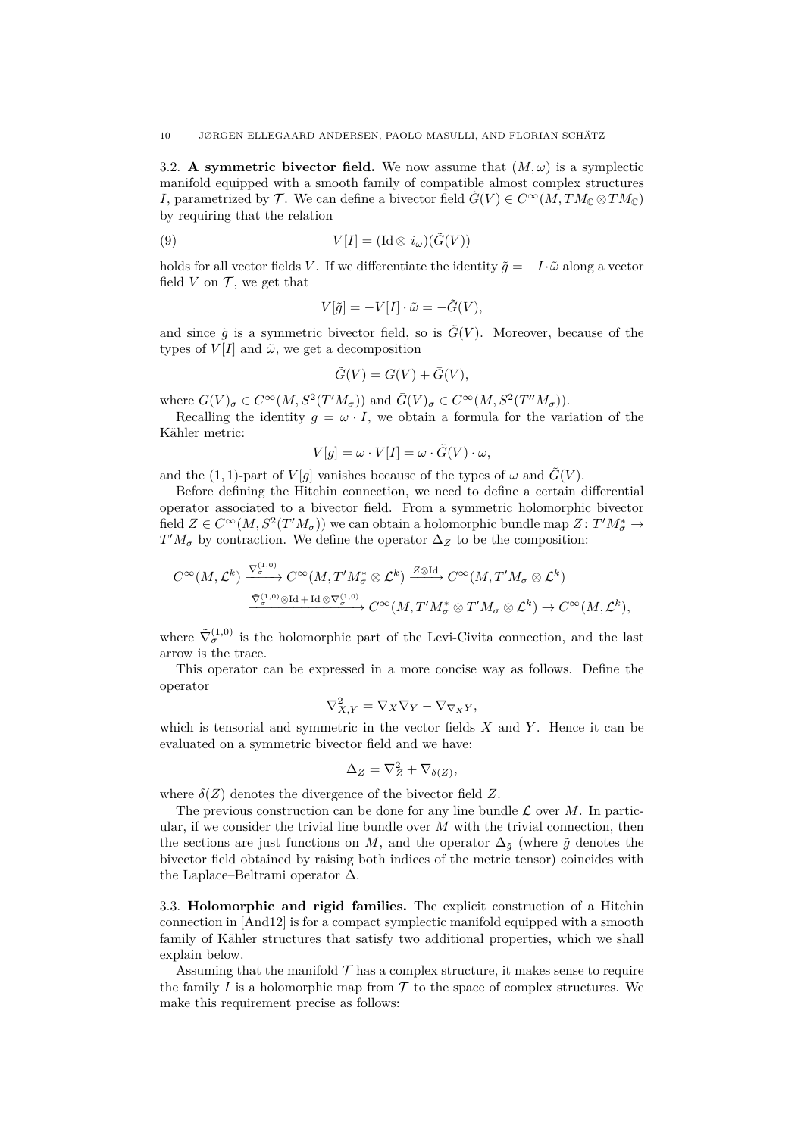3.2. **A symmetric bivector field.** We now assume that  $(M, \omega)$  is a symplectic manifold equipped with a smooth family of compatible almost complex structures *I*, parametrized by  $\mathcal{T}$ . We can define a bivector field  $\tilde{G}(V) \in C^{\infty}(M, TM_{\mathbb{C}} \otimes TM_{\mathbb{C}})$ by requiring that the relation

(9) 
$$
V[I] = (\mathrm{Id} \otimes i_{\omega})(\tilde{G}(V))
$$

holds for all vector fields *V*. If we differentiate the identity  $\tilde{q} = -I \cdot \tilde{\omega}$  along a vector field  $V$  on  $\mathcal T$ , we get that

$$
V[\tilde{g}] = -V[I] \cdot \tilde{\omega} = -\tilde{G}(V),
$$

and since  $\tilde{g}$  is a symmetric bivector field, so is  $\tilde{G}(V)$ . Moreover, because of the types of  $V[I]$  and  $\tilde{\omega}$ , we get a decomposition

$$
\tilde{G}(V) = G(V) + \bar{G}(V),
$$

where  $G(V)_{\sigma} \in C^{\infty}(M, S^2(T'M_{\sigma}))$  and  $\overline{G}(V)_{\sigma} \in C^{\infty}(M, S^2(T''M_{\sigma}))$ .

Recalling the identity  $q = \omega \cdot I$ , we obtain a formula for the variation of the Kähler metric:

$$
V[g] = \omega \cdot V[I] = \omega \cdot \tilde{G}(V) \cdot \omega,
$$

and the (1, 1)-part of  $V[q]$  vanishes because of the types of  $\omega$  and  $\tilde{G}(V)$ .

Before defining the Hitchin connection, we need to define a certain differential operator associated to a bivector field. From a symmetric holomorphic bivector field  $Z \in C^{\infty}(M, S^2(T'M_{\sigma}))$  we can obtain a holomorphic bundle map  $Z: T'M_{\sigma}^* \to$  $T'M_{\sigma}$  by contraction. We define the operator  $\Delta_Z$  to be the composition:

$$
C^{\infty}(M, \mathcal{L}^{k}) \xrightarrow{\nabla_{\sigma}^{(1,0)}} C^{\infty}(M, T'M_{\sigma}^{*} \otimes \mathcal{L}^{k}) \xrightarrow{Z \otimes Id} C^{\infty}(M, T'M_{\sigma} \otimes \mathcal{L}^{k})
$$
  

$$
\xrightarrow{\tilde{\nabla}_{\sigma}^{(1,0)} \otimes Id + Id \otimes \nabla_{\sigma}^{(1,0)}} C^{\infty}(M, T'M_{\sigma}^{*} \otimes T'M_{\sigma} \otimes \mathcal{L}^{k}) \to C^{\infty}(M, \mathcal{L}^{k}),
$$

where  $\tilde{\nabla}_{\sigma}^{(1,0)}$  is the holomorphic part of the Levi-Civita connection, and the last arrow is the trace.

This operator can be expressed in a more concise way as follows. Define the operator

$$
\nabla_{X,Y}^2 = \nabla_X \nabla_Y - \nabla_{\nabla_X Y},
$$

which is tensorial and symmetric in the vector fields *X* and *Y* . Hence it can be evaluated on a symmetric bivector field and we have:

$$
\Delta_Z = \nabla_Z^2 + \nabla_{\delta(Z)},
$$

where  $\delta(Z)$  denotes the divergence of the bivector field Z.

∇(1*,*0)

The previous construction can be done for any line bundle  $\mathcal L$  over  $M$ . In particular, if we consider the trivial line bundle over *M* with the trivial connection, then the sections are just functions on *M*, and the operator  $\Delta_{\tilde{q}}$  (where  $\tilde{g}$  denotes the bivector field obtained by raising both indices of the metric tensor) coincides with the Laplace–Beltrami operator ∆.

3.3. **Holomorphic and rigid families.** The explicit construction of a Hitchin connection in [\[And12\]](#page-24-1) is for a compact symplectic manifold equipped with a smooth family of Kähler structures that satisfy two additional properties, which we shall explain below.

Assuming that the manifold  $\mathcal T$  has a complex structure, it makes sense to require the family  $I$  is a holomorphic map from  $\mathcal T$  to the space of complex structures. We make this requirement precise as follows: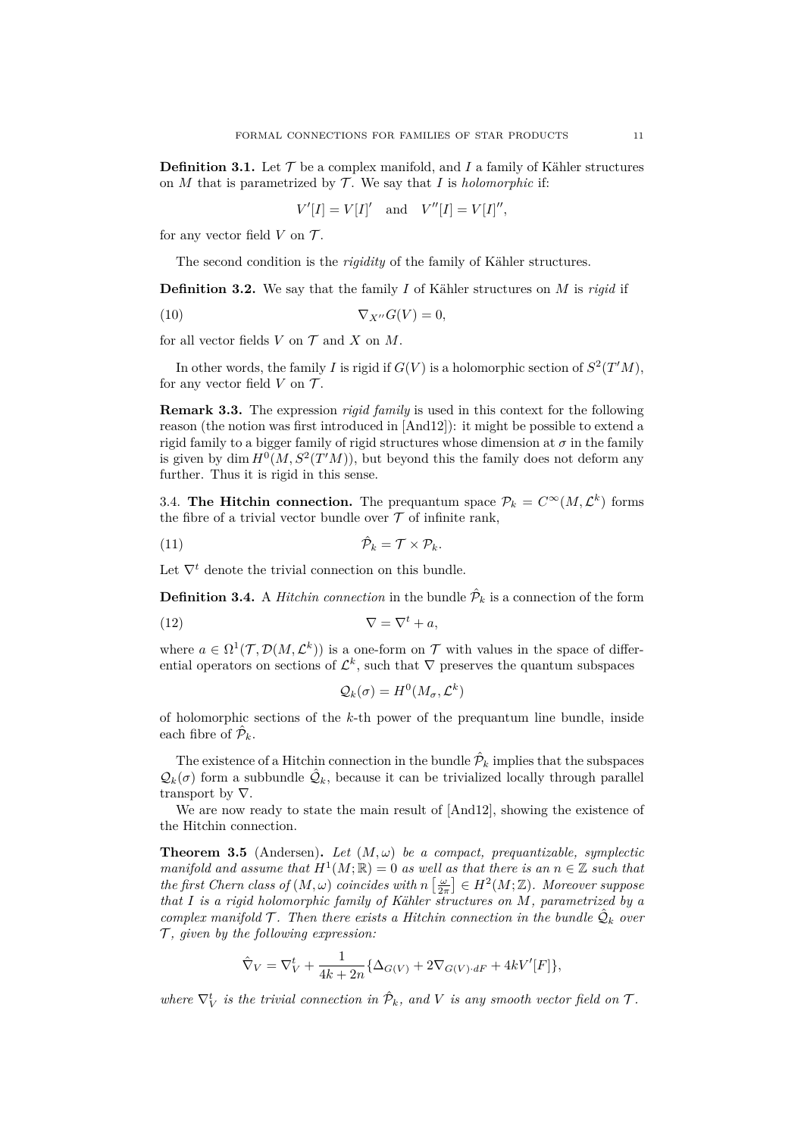**Definition 3.1.** Let  $\mathcal{T}$  be a complex manifold, and  $I$  a family of Kähler structures on  $M$  that is parametrized by  $\mathcal T$ . We say that  $I$  is *holomorphic* if:

$$
V'[I] = V[I]'
$$
 and 
$$
V''[I] = V[I]'',
$$

for any vector field  $V$  on  $\mathcal{T}$ .

The second condition is the *rigidity* of the family of Kähler structures.

**Definition 3.2.** We say that the family *I* of Kähler structures on *M* is *rigid* if

$$
\nabla_{X''} G(V) = 0,
$$

for all vector fields  $V$  on  $\mathcal T$  and  $X$  on  $M$ .

In other words, the family *I* is rigid if  $G(V)$  is a holomorphic section of  $S^2(T'M)$ , for any vector field  $V$  on  $\mathcal{T}$ .

**Remark 3.3.** The expression *rigid family* is used in this context for the following reason (the notion was first introduced in [\[And12\]](#page-24-1)): it might be possible to extend a rigid family to a bigger family of rigid structures whose dimension at  $\sigma$  in the family is given by dim  $H^0(M, S^2(T'M))$ , but beyond this the family does not deform any further. Thus it is rigid in this sense.

3.4. **The Hitchin connection.** The prequantum space  $\mathcal{P}_k = C^\infty(M, \mathcal{L}^k)$  forms the fibre of a trivial vector bundle over  $\mathcal T$  of infinite rank,

$$
(11) \t\t \hat{\mathcal{P}}_k = \mathcal{T} \times \mathcal{P}_k.
$$

Let  $\nabla^t$  denote the trivial connection on this bundle.

**Definition 3.4.** A *Hitchin connection* in the bundle  $\hat{\mathcal{P}}_k$  is a connection of the form

$$
\nabla = \nabla^t + a,
$$

where  $a \in \Omega^1(\mathcal{T}, \mathcal{D}(M, \mathcal{L}^k))$  is a one-form on  $\mathcal{T}$  with values in the space of differential operators on sections of  $\mathcal{L}^k$ , such that  $\nabla$  preserves the quantum subspaces

$$
\mathcal{Q}_k(\sigma) = H^0(M_\sigma, \mathcal{L}^k)
$$

of holomorphic sections of the *k*-th power of the prequantum line bundle, inside each fibre of  $\hat{\mathcal{P}}_k$ .

The existence of a Hitchin connection in the bundle  $\hat{\mathcal{P}}_k$  implies that the subspaces  $\mathcal{Q}_k(\sigma)$  form a subbundle  $\hat{\mathcal{Q}}_k$ , because it can be trivialized locally through parallel transport by ∇.

We are now ready to state the main result of  $[And12]$ , showing the existence of the Hitchin connection.

<span id="page-10-0"></span>**Theorem 3.5** (Andersen). Let  $(M, \omega)$  be a compact, prequantizable, symplectic *manifold and assume that*  $H^1(M; \mathbb{R}) = 0$  *as well as that there is an*  $n \in \mathbb{Z}$  *such that the first Chern class of*  $(M, \omega)$  *coincides with*  $n\left[\frac{\omega}{2\pi}\right] \in H^2(M; \mathbb{Z})$ *. Moreover suppose that I is a rigid holomorphic family of Kähler structures on M, parametrized by a complex manifold*  $\mathcal{T}$ *. Then there exists a Hitchin connection in the bundle*  $\hat{\mathcal{Q}}_k$  *over* T *, given by the following expression:*

$$
\hat\nabla_V=\nabla_V^t+\frac{1}{4k+2n}\{\Delta_{G(V)}+2\nabla_{G(V)\cdot dF}+4kV'[F]\},
$$

*where*  $\nabla_V^t$  *is the trivial connection in*  $\hat{\mathcal{P}}_k$ *, and V is any smooth vector field on*  $\mathcal{T}$ *.*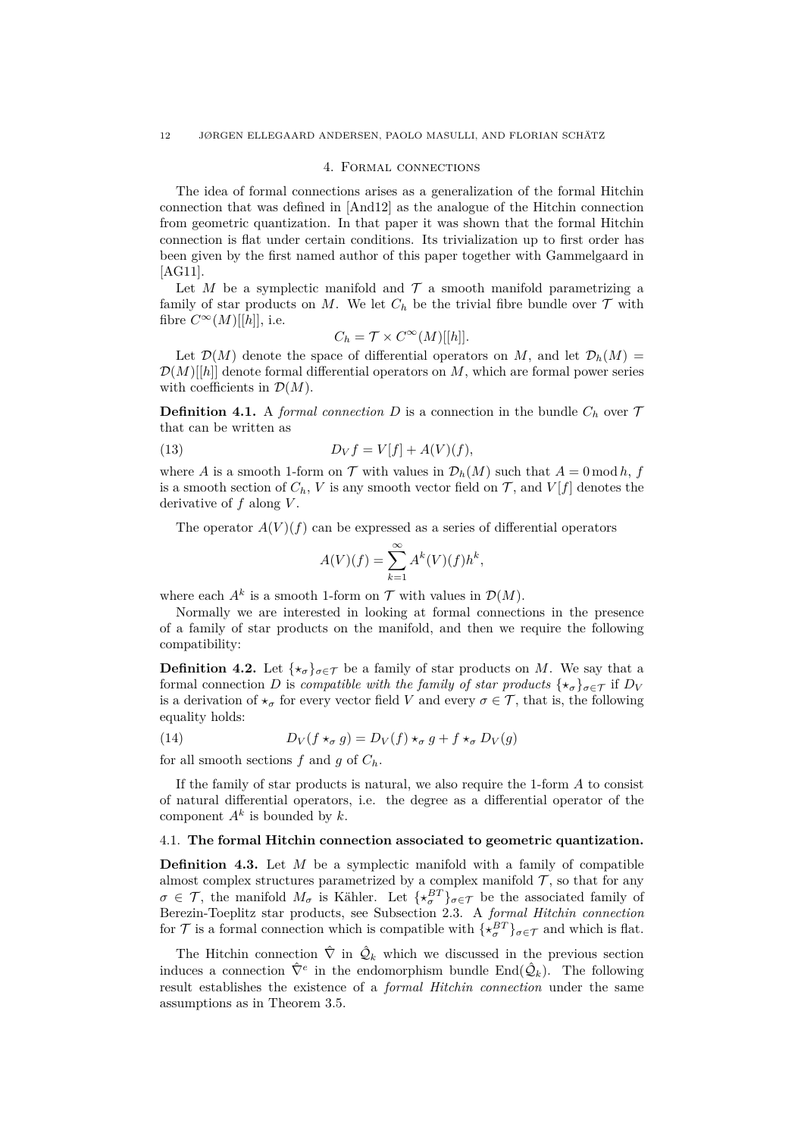#### 4. Formal connections

The idea of formal connections arises as a generalization of the formal Hitchin connection that was defined in [\[And12\]](#page-24-1) as the analogue of the Hitchin connection from geometric quantization. In that paper it was shown that the formal Hitchin connection is flat under certain conditions. Its trivialization up to first order has been given by the first named author of this paper together with Gammelgaard in [\[AG11\]](#page-24-7).

Let *M* be a symplectic manifold and  $\mathcal T$  a smooth manifold parametrizing a family of star products on  $M$ . We let  $C_h$  be the trivial fibre bundle over  $\mathcal T$  with fibre  $C^{\infty}(M)[[h]],$  i.e.

$$
C_h = \mathcal{T} \times C^{\infty}(M)[[h]].
$$

Let  $\mathcal{D}(M)$  denote the space of differential operators on M, and let  $\mathcal{D}_h(M)$  $\mathcal{D}(M)[h]$  denote formal differential operators on *M*, which are formal power series with coefficients in  $\mathcal{D}(M)$ .

**Definition 4.1.** A *formal connection D* is a connection in the bundle  $C_h$  over  $\mathcal{T}$ that can be written as

(13) 
$$
D_V f = V[f] + A(V)(f),
$$

where *A* is a smooth 1-form on  $\mathcal T$  with values in  $\mathcal D_h(M)$  such that  $A = 0 \bmod h$ , *f* is a smooth section of  $C_h$ , *V* is any smooth vector field on  $\mathcal{T}$ , and  $V[f]$  denotes the derivative of *f* along *V* .

The operator  $A(V)(f)$  can be expressed as a series of differential operators

$$
A(V)(f) = \sum_{k=1}^{\infty} A^k(V)(f)h^k,
$$

where each  $A^k$  is a smooth 1-form on  $\mathcal T$  with values in  $\mathcal D(M)$ .

Normally we are interested in looking at formal connections in the presence of a family of star products on the manifold, and then we require the following compatibility:

<span id="page-11-1"></span>**Definition 4.2.** Let  $\{\star_{\sigma}\}_{{\sigma}\in\mathcal{T}}$  be a family of star products on *M*. We say that a formal connection *D* is *compatible with the family of star products*  $\{\star_{\sigma}\}_{{\sigma}\in\mathcal{T}}$  if  $D_V$ is a derivation of  $\star_{\sigma}$  for every vector field *V* and every  $\sigma \in \mathcal{T}$ , that is, the following equality holds:

(14) 
$$
D_V(f \star_\sigma g) = D_V(f) \star_\sigma g + f \star_\sigma D_V(g)
$$

for all smooth sections  $f$  and  $g$  of  $C_h$ .

If the family of star products is natural, we also require the 1-form *A* to consist of natural differential operators, i.e. the degree as a differential operator of the component  $A^k$  is bounded by  $k$ .

### <span id="page-11-2"></span>4.1. **The formal Hitchin connection associated to geometric quantization.**

<span id="page-11-0"></span>**Definition 4.3.** Let *M* be a symplectic manifold with a family of compatible almost complex structures parametrized by a complex manifold  $\mathcal{T}$ , so that for any  $\sigma \in \mathcal{T}$ , the manifold  $M_{\sigma}$  is Kähler. Let  $\{ \star_{\sigma}^{BT} \}_{\sigma \in \mathcal{T}}$  be the associated family of Berezin-Toeplitz star products, see Subsection [2.3.](#page-7-1) A *formal Hitchin connection* for  $\mathcal{T}$  is a formal connection which is compatible with  $\{\star_{\sigma}^{BT}\}_{\sigma \in \mathcal{T}}$  and which is flat.

The Hitchin connection  $\hat{\nabla}$  in  $\hat{\mathcal{Q}}_k$  which we discussed in the previous section induces a connection  $\hat{\nabla}^e$  in the endomorphism bundle  $\text{End}(\hat{\mathcal{Q}}_k)$ . The following result establishes the existence of a *formal Hitchin connection* under the same assumptions as in Theorem [3.5.](#page-10-0)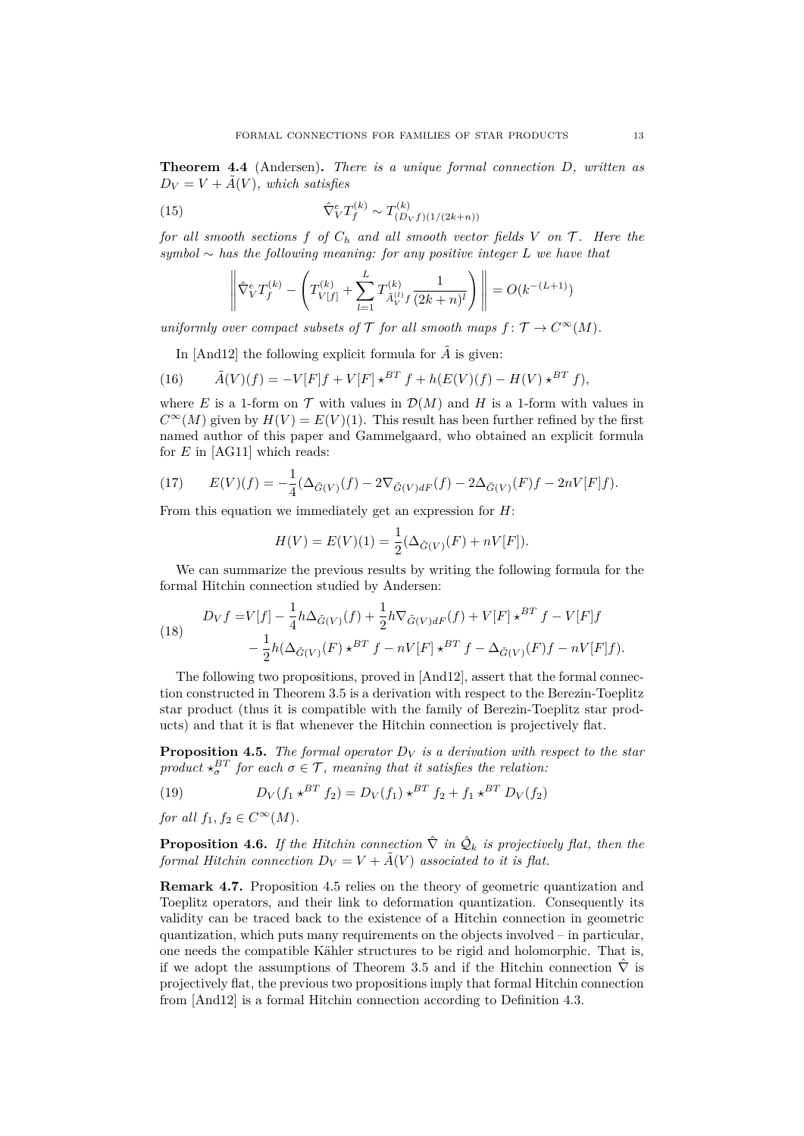**Theorem 4.4** (Andersen)**.** *There is a unique formal connection D, written as*  $D_V = V + \tilde{A}(V)$ , which satisfies

(15) 
$$
\hat{\nabla}_V^e T_f^{(k)} \sim T_{(D_V f)(1/(2k+n))}^{(k)}
$$

*for all smooth sections*  $f$  *of*  $C_h$  *and all smooth vector fields*  $V$  *on*  $\mathcal{T}$ *. Here the symbol* ∼ *has the following meaning: for any positive integer L we have that*

$$
\left\| \hat{\nabla}_V^e T_f^{(k)} - \left( T_{V[f]}^{(k)} + \sum_{l=1}^L T_{\tilde{A}_V^{(l)} f}^{(k)} \frac{1}{(2k+n)^l} \right) \right\| = O(k^{-(L+1)})
$$

*uniformly over compact subsets of*  $\mathcal T$  *for all smooth maps*  $f: \mathcal T \to C^{\infty}(M)$ *.* 

In [\[And12\]](#page-24-1) the following explicit formula for  $\tilde{A}$  is given:

(16) 
$$
\tilde{A}(V)(f) = -V[F]f + V[F] \star^{BT} f + h(E(V)(f) - H(V) \star^{BT} f),
$$

where *E* is a 1-form on  $\mathcal T$  with values in  $\mathcal D(M)$  and *H* is a 1-form with values in  $C^{\infty}(M)$  given by  $H(V) = E(V)(1)$ . This result has been further refined by the first named author of this paper and Gammelgaard, who obtained an explicit formula for *E* in [\[AG11\]](#page-24-7) which reads:

(17) 
$$
E(V)(f) = -\frac{1}{4}(\Delta_{\tilde{G}(V)}(f) - 2\nabla_{\tilde{G}(V)dF}(f) - 2\Delta_{\tilde{G}(V)}(F)f - 2nV[F]f).
$$

From this equation we immediately get an expression for *H*:

$$
H(V) = E(V)(1) = \frac{1}{2}(\Delta_{\tilde{G}(V)}(F) + nV[F]).
$$

We can summarize the previous results by writing the following formula for the formal Hitchin connection studied by Andersen:

<span id="page-12-1"></span>(18) 
$$
D_V f = V[f] - \frac{1}{4} h \Delta_{\tilde{G}(V)}(f) + \frac{1}{2} h \nabla_{\tilde{G}(V) dF}(f) + V[F] \star^{BT} f - V[F] f - \frac{1}{2} h (\Delta_{\tilde{G}(V)}(F) \star^{BT} f - nV[F] \star^{BT} f - \Delta_{\tilde{G}(V)}(F) f - nV[F] f).
$$

The following two propositions, proved in [\[And12\]](#page-24-1), assert that the formal connection constructed in Theorem [3.5](#page-10-0) is a derivation with respect to the Berezin-Toeplitz star product (thus it is compatible with the family of Berezin-Toeplitz star products) and that it is flat whenever the Hitchin connection is projectively flat.

<span id="page-12-0"></span>**Proposition 4.5.** *The formal operator*  $D_V$  *is a derivation with respect to the star product*  $\star_{\sigma}^{BT}$  *for each*  $\sigma \in \mathcal{T}$ *, meaning that it satisfies the relation:* 

<span id="page-12-2"></span>(19) 
$$
D_V(f_1 \star^{BT} f_2) = D_V(f_1) \star^{BT} f_2 + f_1 \star^{BT} D_V(f_2)
$$

*for all*  $f_1, f_2 \in C^\infty(M)$ .

**Proposition 4.6.** If the Hitchin connection  $\hat{\nabla}$  in  $\hat{\mathcal{Q}}_k$  is projectively flat, then the *formal Hitchin connection*  $D_V = V + \tilde{A}(V)$  *associated to it is flat.* 

**Remark 4.7.** Proposition [4.5](#page-12-0) relies on the theory of geometric quantization and Toeplitz operators, and their link to deformation quantization. Consequently its validity can be traced back to the existence of a Hitchin connection in geometric quantization, which puts many requirements on the objects involved – in particular, one needs the compatible Kähler structures to be rigid and holomorphic. That is, if we adopt the assumptions of Theorem [3.5](#page-10-0) and if the Hitchin connection  $\hat{\nabla}$  is projectively flat, the previous two propositions imply that formal Hitchin connection from [\[And12\]](#page-24-1) is a formal Hitchin connection according to Definition [4.3.](#page-11-0)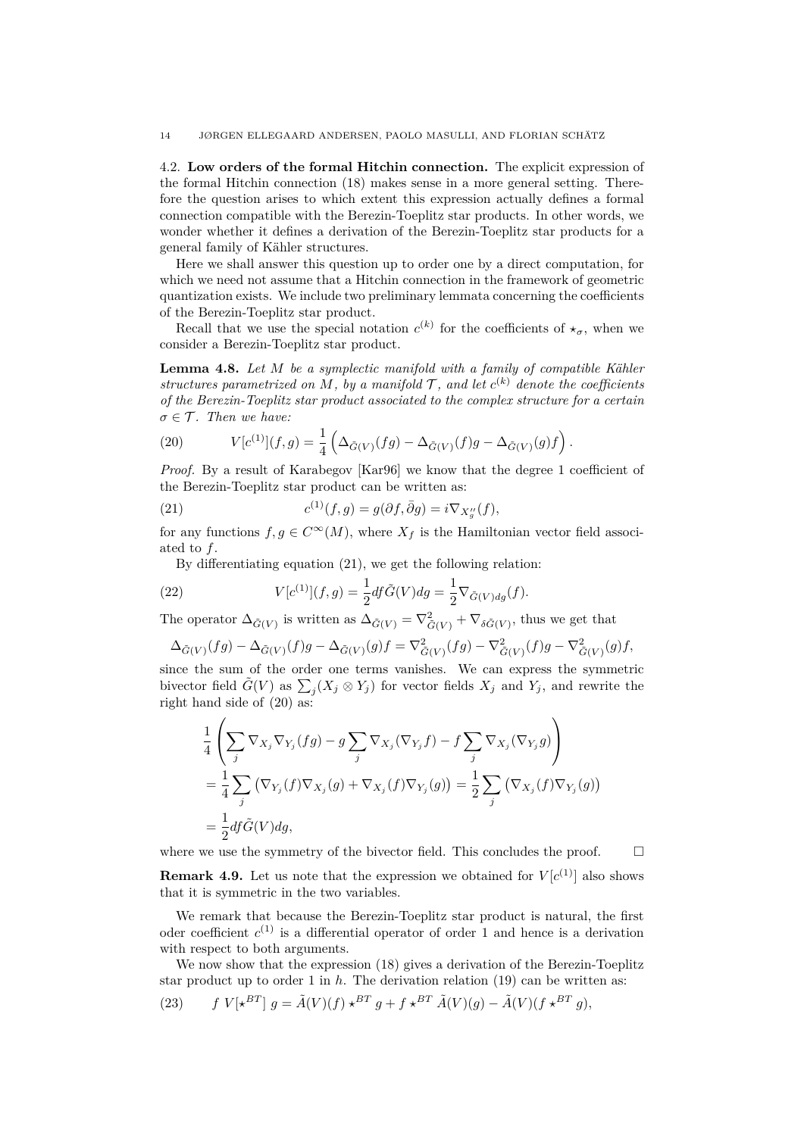4.2. **Low orders of the formal Hitchin connection.** The explicit expression of the formal Hitchin connection [\(18\)](#page-12-1) makes sense in a more general setting. Therefore the question arises to which extent this expression actually defines a formal connection compatible with the Berezin-Toeplitz star products. In other words, we wonder whether it defines a derivation of the Berezin-Toeplitz star products for a general family of Kähler structures.

Here we shall answer this question up to order one by a direct computation, for which we need not assume that a Hitchin connection in the framework of geometric quantization exists. We include two preliminary lemmata concerning the coefficients of the Berezin-Toeplitz star product.

Recall that we use the special notation  $c^{(k)}$  for the coefficients of  $\star_{\sigma}$ , when we consider a Berezin-Toeplitz star product.

<span id="page-13-2"></span>**Lemma 4.8.** *Let M be a symplectic manifold with a family of compatible Kähler structures parametrized on*  $M$ *, by a manifold*  $\mathcal{T}$ *, and let*  $c^{(k)}$  *denote the coefficients of the Berezin-Toeplitz star product associated to the complex structure for a certain*  $\sigma \in \mathcal{T}$ *. Then we have:* 

<span id="page-13-1"></span>(20) 
$$
V[c^{(1)}](f,g) = \frac{1}{4} \left( \Delta_{\tilde{G}(V)}(fg) - \Delta_{\tilde{G}(V)}(f)g - \Delta_{\tilde{G}(V)}(g)f \right).
$$

*Proof.* By a result of Karabegov [\[Kar96\]](#page-25-11) we know that the degree 1 coefficient of the Berezin-Toeplitz star product can be written as:

<span id="page-13-0"></span>(21) 
$$
c^{(1)}(f,g) = g(\partial f, \bar{\partial}g) = i \nabla_{X''_g}(f),
$$

for any functions  $f, g \in C^{\infty}(M)$ , where  $X_f$  is the Hamiltonian vector field associated to *f*.

By differentiating equation [\(21\)](#page-13-0), we get the following relation:

(22) 
$$
V[c^{(1)}](f,g) = \frac{1}{2} df \tilde{G}(V) dg = \frac{1}{2} \nabla_{\tilde{G}(V) dg}(f).
$$

The operator  $\Delta_{\tilde{G}(V)}$  is written as  $\Delta_{\tilde{G}(V)} = \nabla_{\tilde{G}(V)}^2 + \nabla_{\delta \tilde{G}(V)}$ , thus we get that

$$
\Delta_{\tilde{G}(V)}(fg) - \Delta_{\tilde{G}(V)}(f)g - \Delta_{\tilde{G}(V)}(g)f = \nabla^2_{\tilde{G}(V)}(fg) - \nabla^2_{\tilde{G}(V)}(f)g - \nabla^2_{\tilde{G}(V)}(g)f,
$$

since the sum of the order one terms vanishes. We can express the symmetric bivector field  $\tilde{G}(V)$  as  $\sum_j (X_j \otimes Y_j)$  for vector fields  $X_j$  and  $Y_j$ , and rewrite the right hand side of [\(20\)](#page-13-1) as:

$$
\frac{1}{4} \left( \sum_{j} \nabla_{X_j} \nabla_{Y_j} (fg) - g \sum_{j} \nabla_{X_j} (\nabla_{Y_j} f) - f \sum_{j} \nabla_{X_j} (\nabla_{Y_j} g) \right)
$$
\n
$$
= \frac{1}{4} \sum_{j} \left( \nabla_{Y_j} (f) \nabla_{X_j} (g) + \nabla_{X_j} (f) \nabla_{Y_j} (g) \right) = \frac{1}{2} \sum_{j} \left( \nabla_{X_j} (f) \nabla_{Y_j} (g) \right)
$$
\n
$$
= \frac{1}{2} df \tilde{G}(V) dg,
$$

where we use the symmetry of the bivector field. This concludes the proof.  $\Box$ 

**Remark 4.9.** Let us note that the expression we obtained for  $V[c^{(1)}]$  also shows that it is symmetric in the two variables.

We remark that because the Berezin-Toeplitz star product is natural, the first oder coefficient  $c^{(1)}$  is a differential operator of order 1 and hence is a derivation with respect to both arguments.

We now show that the expression [\(18\)](#page-12-1) gives a derivation of the Berezin-Toeplitz star product up to order 1 in  $h$ . The derivation relation  $(19)$  can be written as:

(23) 
$$
f V[*^{BT}] g = \tilde{A}(V)(f) *^{BT} g + f *^{BT} \tilde{A}(V)(g) - \tilde{A}(V)(f *^{BT} g),
$$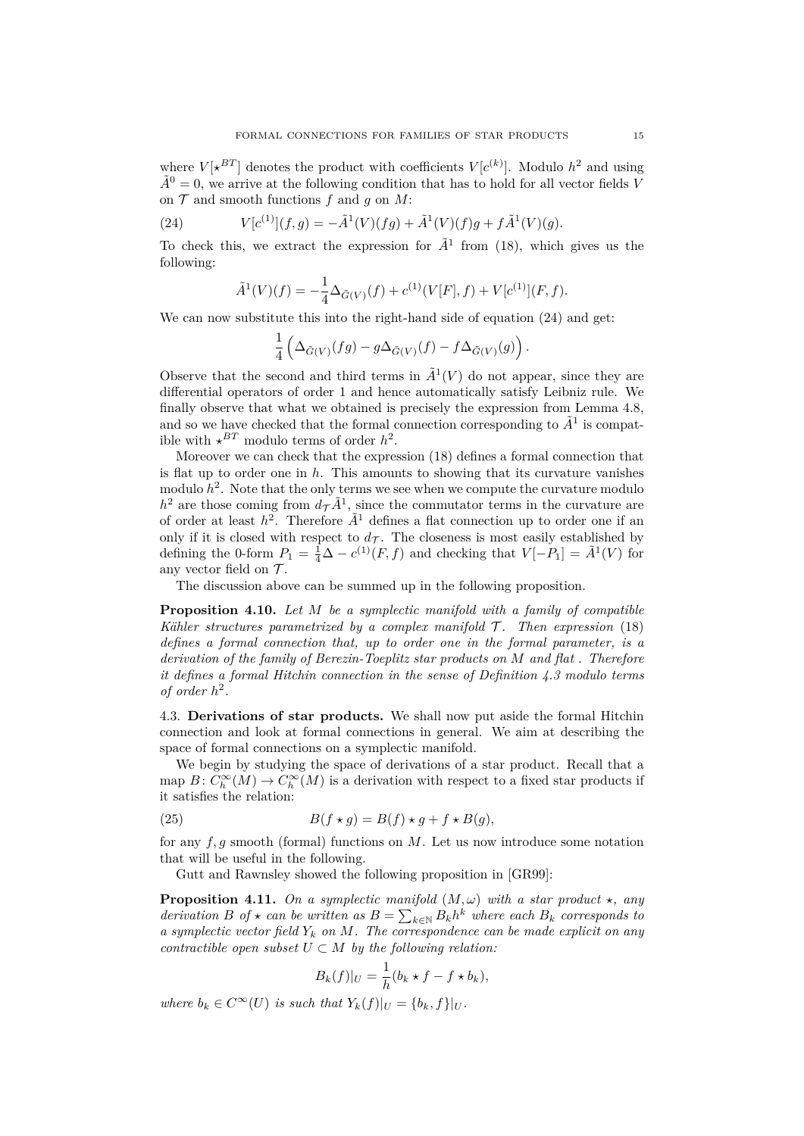where  $V[ \star^{BT} ]$  denotes the product with coefficients  $V[c^{(k)} ]$ . Modulo  $h^2$  and using  $\tilde{A}^0 = 0$ , we arrive at the following condition that has to hold for all vector fields *V* on  $\mathcal T$  and smooth functions  $f$  and  $g$  on  $M$ :

(24) 
$$
V[c^{(1)}](f,g) = -\tilde{A}^{1}(V)(fg) + \tilde{A}^{1}(V)(f)g + f\tilde{A}^{1}(V)(g).
$$

To check this, we extract the expression for  $\tilde{A}^1$  from [\(18\)](#page-12-1), which gives us the following:

<span id="page-14-0"></span>
$$
\tilde{A}^{1}(V)(f) = -\frac{1}{4}\Delta_{\tilde{G}(V)}(f) + c^{(1)}(V[F], f) + V[c^{(1)}](F, f).
$$

We can now substitute this into the right-hand side of equation  $(24)$  and get:

$$
\frac{1}{4}\left(\Delta_{\tilde{G}(V)}(fg)-g\Delta_{\tilde{G}(V)}(f)-f\Delta_{\tilde{G}(V)}(g)\right).
$$

Observe that the second and third terms in  $\tilde{A}^1(V)$  do not appear, since they are differential operators of order 1 and hence automatically satisfy Leibniz rule. We finally observe that what we obtained is precisely the expression from Lemma [4.8,](#page-13-2) and so we have checked that the formal connection corresponding to  $\tilde{A}^1$  is compatible with  $\star^{BT}$  modulo terms of order  $h^2$ .

Moreover we can check that the expression [\(18\)](#page-12-1) defines a formal connection that is flat up to order one in *h*. This amounts to showing that its curvature vanishes modulo  $h^2$ . Note that the only terms we see when we compute the curvature modulo  $h^2$  are those coming from  $d\tau \tilde{A}^1$ , since the commutator terms in the curvature are of order at least  $h^2$ . Therefore  $A^1$  defines a flat connection up to order one if an only if it is closed with respect to  $d_{\mathcal{T}}$ . The closeness is most easily established by defining the 0-form  $P_1 = \frac{1}{4}\Delta - c^{(1)}(F, f)$  and checking that  $V[-\hat{P}_1] = \tilde{A}^1(V)$  for any vector field on  $\mathcal{T}$ .

The discussion above can be summed up in the following proposition.

**Proposition 4.10.** *Let M be a symplectic manifold with a family of compatible Kähler structures parametrized by a complex manifold*  $\mathcal{T}$ *. Then expression* [\(18\)](#page-12-1) *defines a formal connection that, up to order one in the formal parameter, is a derivation of the family of Berezin-Toeplitz star products on M and flat . Therefore it defines a formal Hitchin connection in the sense of Definition [4.3](#page-11-0) modulo terms of order*  $h^2$ .

4.3. **Derivations of star products.** We shall now put aside the formal Hitchin connection and look at formal connections in general. We aim at describing the space of formal connections on a symplectic manifold.

We begin by studying the space of derivations of a star product. Recall that a map  $B: C_h^{\infty}(M) \to C_h^{\infty}(M)$  is a derivation with respect to a fixed star products if it satisfies the relation:

(25) 
$$
B(f \star g) = B(f) \star g + f \star B(g),
$$

for any *f, g* smooth (formal) functions on *M*. Let us now introduce some notation that will be useful in the following.

Gutt and Rawnsley showed the following proposition in [\[GR99\]](#page-25-7):

**Proposition 4.11.** *On a symplectic manifold*  $(M, \omega)$  *with a star product*  $\star$ *, any derivation B of*  $\star$  *can be written as*  $B = \sum_{k \in \mathbb{N}} B_k h^k$  *where each*  $B_k$  *corresponds to a symplectic vector field*  $Y_k$  *on*  $M$ *. The correspondence can be made explicit on any contractible open subset*  $U \subset M$  *by the following relation:* 

$$
B_k(f)|_U = \frac{1}{h}(b_k \star f - f \star b_k),
$$

*where*  $b_k \in C^{\infty}(U)$  *is such that*  $Y_k(f)|_U = \{b_k, f\}|_U$ .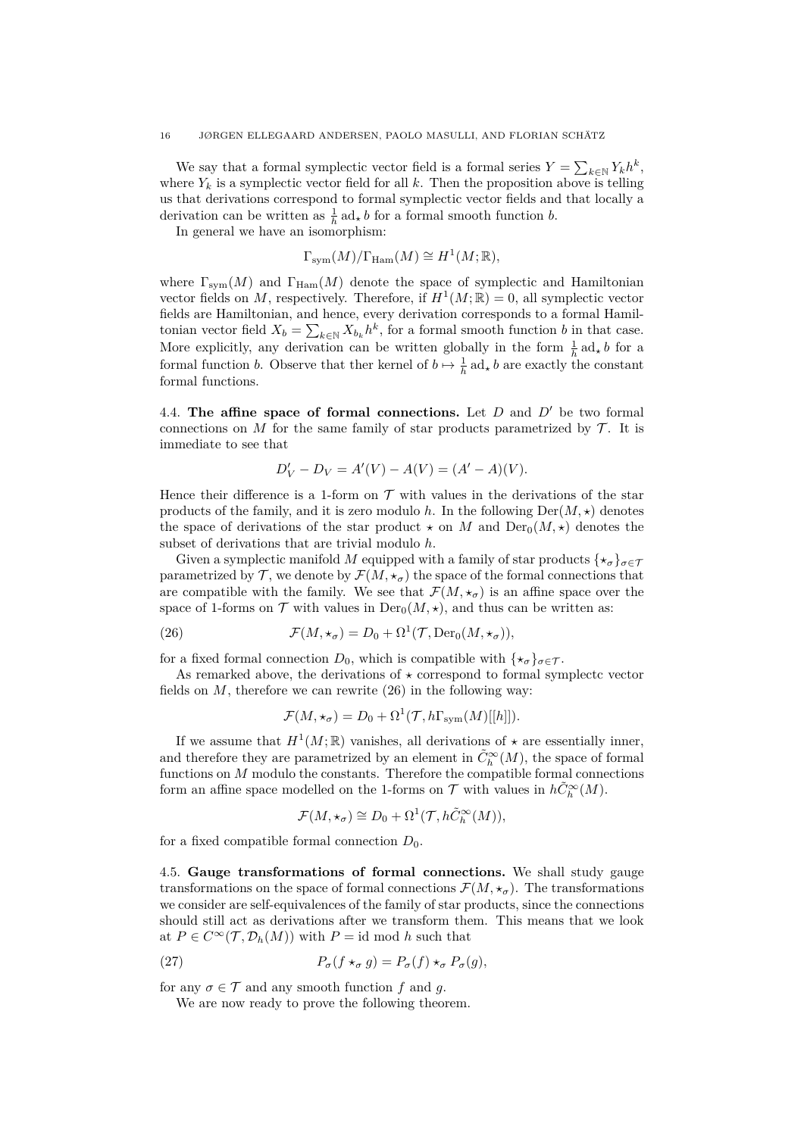We say that a formal symplectic vector field is a formal series  $Y = \sum_{k \in \mathbb{N}} Y_k h^k$ , where  $Y_k$  is a symplectic vector field for all  $k$ . Then the proposition above is telling us that derivations correspond to formal symplectic vector fields and that locally a derivation can be written as  $\frac{1}{h}$  ad<sub>*\**</sub> *b* for a formal smooth function *b*.

In general we have an isomorphism:

$$
\Gamma_{\text{sym}}(M)/\Gamma_{\text{Ham}}(M) \cong H^1(M; \mathbb{R}),
$$

where  $\Gamma_{sym}(M)$  and  $\Gamma_{Ham}(M)$  denote the space of symplectic and Hamiltonian vector fields on M, respectively. Therefore, if  $H^1(M; \mathbb{R}) = 0$ , all symplectic vector fields are Hamiltonian, and hence, every derivation corresponds to a formal Hamiltonian vector field  $X_b = \sum_{k \in \mathbb{N}} X_{b_k} h^k$ , for a formal smooth function *b* in that case. More explicitly, any derivation can be written globally in the form  $\frac{1}{h}$  ad<sub>\*</sub> *b* for a formal function *b*. Observe that ther kernel of  $b \mapsto \frac{1}{h}$  ad<sub>*\**</sub> *b* are exactly the constant formal functions.

4.4. The affine space of formal connections. Let  $D$  and  $D'$  be two formal connections on *M* for the same family of star products parametrized by  $\mathcal{T}$ . It is immediate to see that

$$
D'_{V} - D_{V} = A'(V) - A(V) = (A' - A)(V).
$$

Hence their difference is a 1-form on  $\mathcal T$  with values in the derivations of the star products of the family, and it is zero modulo *h*. In the following  $Der(M, \star)$  denotes the space of derivations of the star product  $\star$  on *M* and Der<sub>0</sub> $(M, \star)$  denotes the subset of derivations that are trivial modulo *h*.

Given a symplectic manifold M equipped with a family of star products  $\{ \star_{\sigma} \}_{\sigma \in \mathcal{T}}$ parametrized by  $\mathcal{T}$ , we denote by  $\mathcal{F}(M, \star_{\sigma})$  the space of the formal connections that are compatible with the family. We see that  $\mathcal{F}(M, \star_{\sigma})$  is an affine space over the space of 1-forms on  $\mathcal T$  with values in  $\text{Der}_0(M, \star)$ , and thus can be written as:

(26) 
$$
\mathcal{F}(M, \star_{\sigma}) = D_0 + \Omega^1(\mathcal{T}, \text{Der}_0(M, \star_{\sigma})),
$$

for a fixed formal connection  $D_0$ , which is compatible with  $\{\star_{\sigma}\}_{{\sigma}\in\mathcal{T}}$ .

As remarked above, the derivations of  $\star$  correspond to formal symplectc vector fields on  $M$ , therefore we can rewrite  $(26)$  in the following way:

<span id="page-15-0"></span>
$$
\mathcal{F}(M, \star_{\sigma}) = D_0 + \Omega^1(\mathcal{T}, h\Gamma_{sym}(M)[[h]]).
$$

If we assume that  $H^1(M;\mathbb{R})$  vanishes, all derivations of  $\star$  are essentially inner, and therefore they are parametrized by an element in  $\tilde{C}_h^{\infty}(M)$ , the space of formal functions on *M* modulo the constants. Therefore the compatible formal connections form an affine space modelled on the 1-forms on  $\mathcal T$  with values in  $h\tilde{C}_h^\infty(M)$ .

$$
\mathcal{F}(M, \star_{\sigma}) \cong D_0 + \Omega^1(\mathcal{T}, h\tilde{C}_h^{\infty}(M)),
$$

for a fixed compatible formal connection  $D_0$ .

4.5. **Gauge transformations of formal connections.** We shall study gauge transformations on the space of formal connections  $\mathcal{F}(M, \star_{\sigma})$ . The transformations we consider are self-equivalences of the family of star products, since the connections should still act as derivations after we transform them. This means that we look at  $P \in C^{\infty}(\mathcal{T}, \mathcal{D}_h(M))$  with  $P = \text{id} \text{ mod } h$  such that

(27) 
$$
P_{\sigma}(f \star_{\sigma} g) = P_{\sigma}(f) \star_{\sigma} P_{\sigma}(g),
$$

for any  $\sigma \in \mathcal{T}$  and any smooth function f and g.

We are now ready to prove the following theorem.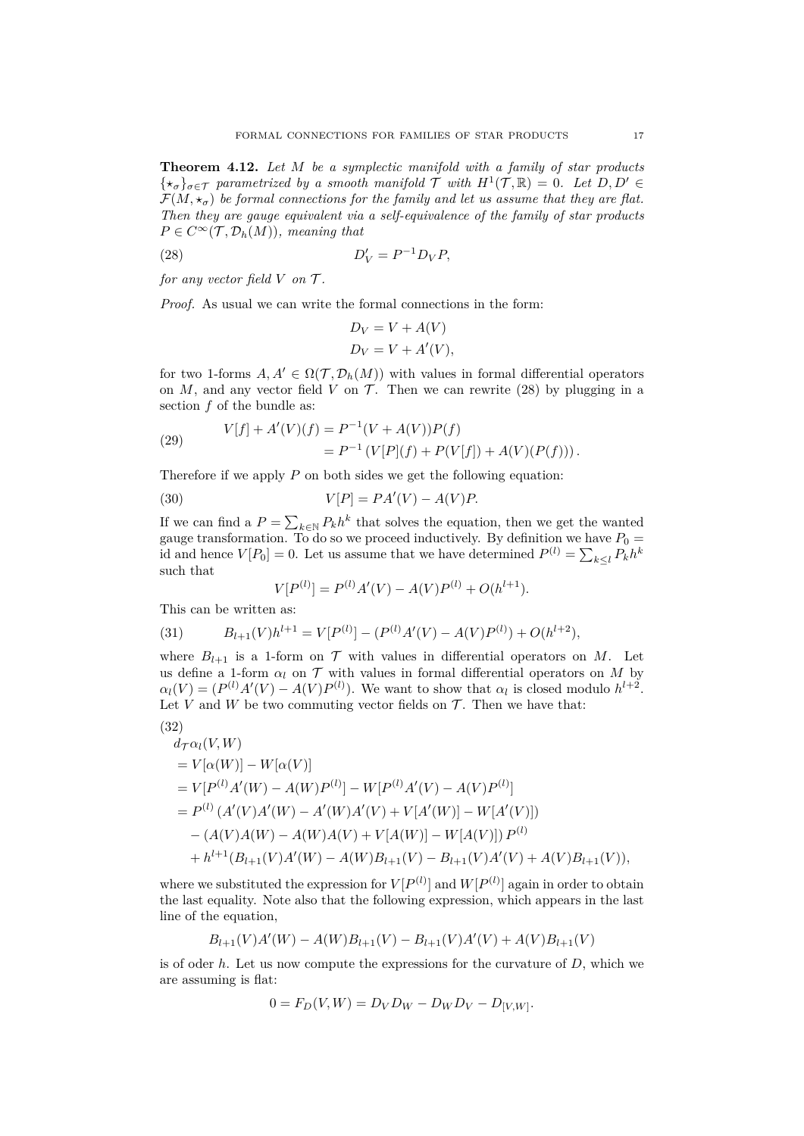<span id="page-16-3"></span>**Theorem 4.12.** *Let M be a symplectic manifold with a family of star products*  $\{\star_{\sigma}\}_{{\sigma}\in\mathcal{T}}$  parametrized by a smooth manifold  $\mathcal{T}$  with  $H^1(\mathcal{T}, \mathbb{R}) = 0$ . Let  $D, D' \in$  $\mathcal{F}(M, \star_{\sigma})$  be formal connections for the family and let us assume that they are flat. *Then they are gauge equivalent via a self-equivalence of the family of star products*  $P \in C^{\infty}(\mathcal{T}, \mathcal{D}_h(M))$ *, meaning that* 

$$
(28)\qquad D_V' = P^{-1} D_V P,
$$

*for any vector field*  $V$  *on*  $\mathcal{T}$ *.* 

*Proof.* As usual we can write the formal connections in the form:

<span id="page-16-0"></span>
$$
D_V = V + A(V)
$$
  

$$
D_V = V + A'(V),
$$

for two 1-forms  $A, A' \in \Omega(T, \mathcal{D}_h(M))$  with values in formal differential operators on  $M$ , and any vector field  $V$  on  $\mathcal{T}$ . Then we can rewrite [\(28\)](#page-16-0) by plugging in a section *f* of the bundle as:

(29) 
$$
V[f] + A'(V)(f) = P^{-1}(V + A(V))P(f)
$$

$$
= P^{-1}(V[P](f) + P(V[f]) + A(V)(P(f))).
$$

Therefore if we apply *P* on both sides we get the following equation:

$$
(30) \t\t V[P] = PA'(V) - A(V)P.
$$

If we can find a  $P = \sum_{k \in \mathbb{N}} P_k h^k$  that solves the equation, then we get the wanted gauge transformation. To do so we proceed inductively. By definition we have  $P_0 =$ id and hence  $V[P_0] = 0$ . Let us assume that we have determined  $P^{(l)} = \sum_{k \leq l} P_k h^k$ such that

$$
V[P^{(l)}] = P^{(l)}A'(V) - A(V)P^{(l)} + O(h^{l+1}).
$$

This can be written as:

<span id="page-16-2"></span>(31) 
$$
B_{l+1}(V)h^{l+1} = V[P^{(l)}] - (P^{(l)}A'(V) - A(V)P^{(l)}) + O(h^{l+2}),
$$

where  $B_{l+1}$  is a 1-form on  $\mathcal T$  with values in differential operators on *M*. Let us define a 1-form  $\alpha_l$  on  $\mathcal T$  with values in formal differential operators on *M* by  $\alpha_l(V) = (P^{(l)}A'(V) - A(V)P^{(l)})$ . We want to show that  $\alpha_l$  is closed modulo  $h^{l+2}$ . Let *V* and *W* be two commuting vector fields on  $\mathcal{T}$ . Then we have that:

$$
(32)
$$

<span id="page-16-1"></span>
$$
d_{\mathcal{T}}\alpha_l(V, W)
$$
  
=  $V[\alpha(W)] - W[\alpha(V)]$   
=  $V[P^{(l)}A'(W) - A(W)P^{(l)}] - W[P^{(l)}A'(V) - A(V)P^{(l)}]$   
=  $P^{(l)}(A'(V)A'(W) - A'(W)A'(V) + V[A'(W)] - W[A'(V)])$   
 $- (A(V)A(W) - A(W)A(V) + V[A(W)] - W[A(V)]) P^{(l)}$   
+  $h^{l+1}(B_{l+1}(V)A'(W) - A(W)B_{l+1}(V) - B_{l+1}(V)A'(V) + A(V)B_{l+1}(V)),$ 

where we substituted the expression for  $V[P^{(l)}]$  and  $W[P^{(l)}]$  again in order to obtain the last equality. Note also that the following expression, which appears in the last line of the equation,

$$
B_{l+1}(V)A'(W) - A(W)B_{l+1}(V) - B_{l+1}(V)A'(V) + A(V)B_{l+1}(V)
$$

is of oder *h*. Let us now compute the expressions for the curvature of *D*, which we are assuming is flat:

$$
0 = F_D(V, W) = D_V D_W - D_W D_V - D_{[V, W]}.
$$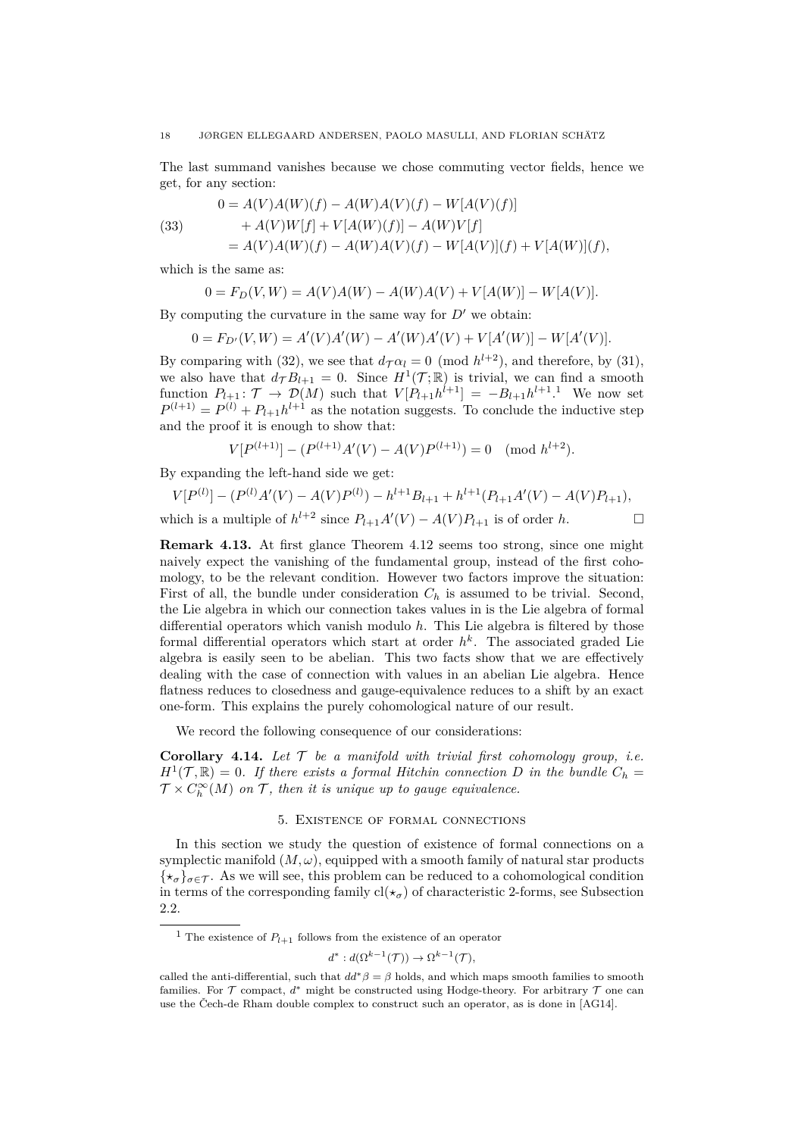The last summand vanishes because we chose commuting vector fields, hence we get, for any section:

(33) 
$$
0 = A(V)A(W)(f) - A(W)A(V)(f) - W[A(V)(f)] + A(V)W[f] + V[A(W)(f)] - A(W)V[f] = A(V)A(W)(f) - A(W)A(V)(f) - W[A(V)](f) + V[A(W)](f),
$$

which is the same as:

$$
0 = F_D(V, W) = A(V)A(W) - A(W)A(V) + V[A(W)] - W[A(V)].
$$

By computing the curvature in the same way for  $D'$  we obtain:

$$
0 = F_{D'}(V, W) = A'(V)A'(W) - A'(W)A'(V) + V[A'(W)] - W[A'(V)].
$$

By comparing with [\(32\)](#page-16-1), we see that  $d_{\mathcal{T}} \alpha_l = 0 \pmod{h^{l+2}}$ , and therefore, by [\(31\)](#page-16-2), we also have that  $d_{\mathcal{T}} B_{l+1} = 0$ . Since  $H^1(\mathcal{T}; \mathbb{R})$  is trivial, we can find a smooth function  $P_{l+1}$  $P_{l+1}$  $P_{l+1}$ :  $\mathcal{T} \to \mathcal{D}(M)$  such that  $V[P_{l+1}h^{l+1}] = -B_{l+1}h^{l+1}$ .<sup>1</sup> We now set  $P^{(l+1)} = P^{(l)} + P_{l+1}h^{l+1}$  as the notation suggests. To conclude the inductive step and the proof it is enough to show that:

$$
V[P^{(l+1)}] - (P^{(l+1)}A'(V) - A(V)P^{(l+1)}) = 0 \pmod{h^{l+2}}.
$$

By expanding the left-hand side we get:

$$
V[P^{(l)}] - (P^{(l)}A'(V) - A(V)P^{(l)}) - h^{l+1}B_{l+1} + h^{l+1}(P_{l+1}A'(V) - A(V)P_{l+1}),
$$
  
which is a multiple of  $h^{l+2}$  since  $P_{l+1}A'(V) - A(V)P_{l+1}$  is of order h.

**Remark 4.13.** At first glance Theorem [4.12](#page-16-3) seems too strong, since one might naively expect the vanishing of the fundamental group, instead of the first cohomology, to be the relevant condition. However two factors improve the situation: First of all, the bundle under consideration  $C_h$  is assumed to be trivial. Second, the Lie algebra in which our connection takes values in is the Lie algebra of formal differential operators which vanish modulo *h*. This Lie algebra is filtered by those formal differential operators which start at order *h k* . The associated graded Lie algebra is easily seen to be abelian. This two facts show that we are effectively dealing with the case of connection with values in an abelian Lie algebra. Hence flatness reduces to closedness and gauge-equivalence reduces to a shift by an exact one-form. This explains the purely cohomological nature of our result.

We record the following consequence of our considerations:

**Corollary 4.14.** Let  $\mathcal T$  be a manifold with trivial first cohomology group, i.e.  $H^1(\mathcal{T}, \mathbb{R}) = 0$ . If there exists a formal Hitchin connection D in the bundle  $C_h =$  $\mathcal{T} \times C_h^{\infty}(M)$  *on*  $\mathcal{T}$ *, then it is unique up to gauge equivalence.* 

### 5. Existence of formal connections

<span id="page-17-0"></span>In this section we study the question of existence of formal connections on a symplectic manifold  $(M, \omega)$ , equipped with a smooth family of natural star products  $\{\star_{\sigma}\}_{{\sigma}\in\mathcal{T}}$ . As we will see, this problem can be reduced to a cohomological condition in terms of the corresponding family  $cl(\star_{\sigma})$  of characteristic 2-forms, see Subsection [2.2.](#page-4-0)

$$
d^*: d(\Omega^{k-1}(\mathcal{T})) \to \Omega^{k-1}(\mathcal{T}),
$$

<span id="page-17-1"></span><sup>&</sup>lt;sup>1</sup> The existence of  $P_{l+1}$  follows from the existence of an operator

called the anti-differential, such that  $dd^* \beta = \beta$  holds, and which maps smooth families to smooth families. For  $\mathcal T$  compact,  $d^*$  might be constructed using Hodge-theory. For arbitrary  $\mathcal T$  one can use the Čech-de Rham double complex to construct such an operator, as is done in [\[AG14\]](#page-24-15).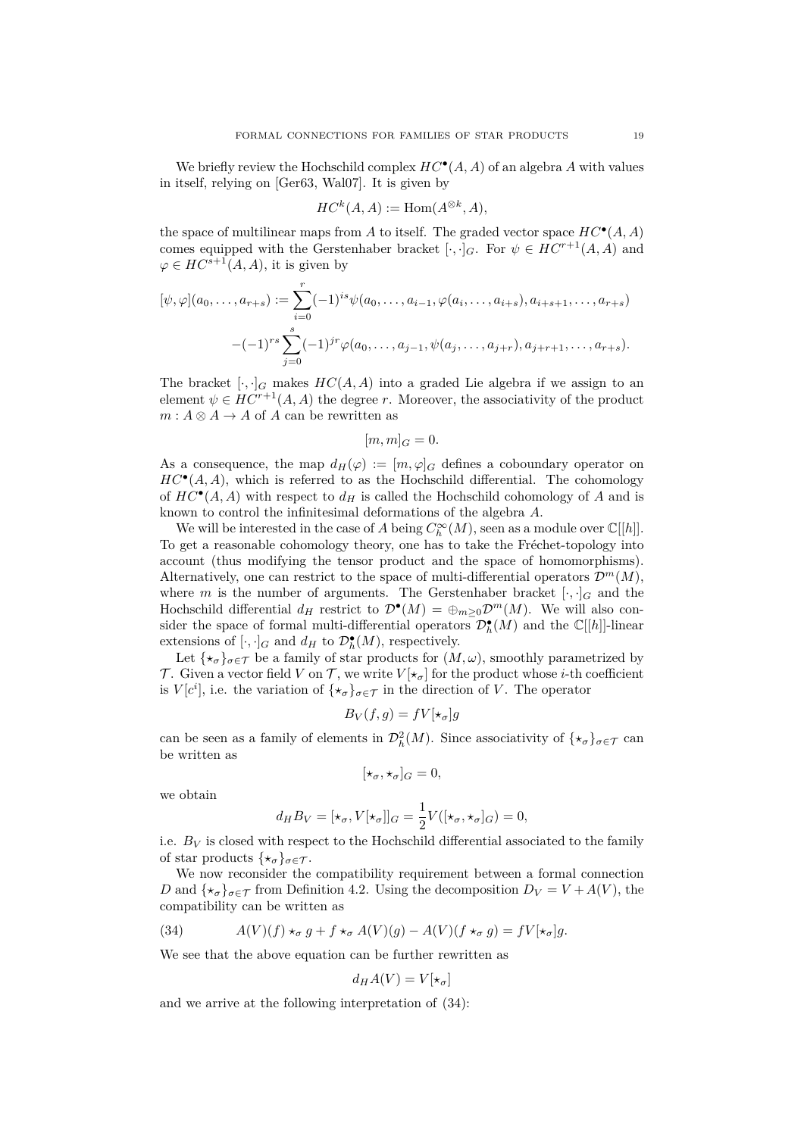We briefly review the Hochschild complex  $HC^{\bullet}(A, A)$  of an algebra A with values in itself, relying on [\[Ger63,](#page-25-12) [Wal07\]](#page-25-8). It is given by

$$
HC^k(A, A) := \text{Hom}(A^{\otimes k}, A),
$$

the space of multilinear maps from  $A$  to itself. The graded vector space  $HC^{\bullet}(A, A)$ comes equipped with the Gerstenhaber bracket  $[\cdot, \cdot]_G$ . For  $\psi \in HC^{r+1}(A, A)$  and  $\varphi \in HC^{s+1}(A, A)$ , it is given by

$$
[\psi, \varphi](a_0, \dots, a_{r+s}) := \sum_{i=0}^r (-1)^{is} \psi(a_0, \dots, a_{i-1}, \varphi(a_i, \dots, a_{i+s}), a_{i+s+1}, \dots, a_{r+s})
$$

$$
-(-1)^{rs} \sum_{j=0}^s (-1)^{jr} \varphi(a_0, \dots, a_{j-1}, \psi(a_j, \dots, a_{j+r}), a_{j+r+1}, \dots, a_{r+s}).
$$

The bracket  $[\cdot, \cdot]_G$  makes  $HC(A, A)$  into a graded Lie algebra if we assign to an element  $\psi \in HC^{r+1}(A, A)$  the degree *r*. Moreover, the associativity of the product  $m: A \otimes A \rightarrow A$  of *A* can be rewritten as

$$
[m,m]_G=0.
$$

As a consequence, the map  $d_H(\varphi) := [m, \varphi]_G$  defines a coboundary operator on  $HC^{\bullet}(A, A)$ , which is referred to as the Hochschild differential. The cohomology of  $HC^{\bullet}(A, A)$  with respect to  $d_H$  is called the Hochschild cohomology of *A* and is known to control the infinitesimal deformations of the algebra *A*.

We will be interested in the case of *A* being  $C_h^{\infty}(M)$ , seen as a module over  $\mathbb{C}[[h]]$ . To get a reasonable cohomology theory, one has to take the Fréchet-topology into account (thus modifying the tensor product and the space of homomorphisms). Alternatively, one can restrict to the space of multi-differential operators  $\mathcal{D}^m(M)$ , where *m* is the number of arguments. The Gerstenhaber bracket  $[\cdot, \cdot]_G$  and the Hochschild differential  $d_H$  restrict to  $\mathcal{D}^{\bullet}(M) = \bigoplus_{m \geq 0} \mathcal{D}^m(M)$ . We will also consider the space of formal multi-differential operators  $\mathcal{D}_{h}^{\bullet}(M)$  and the  $\mathbb{C}[[h]]$ -linear extensions of  $[\cdot, \cdot]_G$  and  $d_H$  to  $\mathcal{D}_h^{\bullet}(M)$ , respectively.

Let  $\{*_\sigma\}_{\sigma \in \mathcal{T}}$  be a family of star products for  $(M, \omega)$ , smoothly parametrized by T. Given a vector field V on T, we write  $V[\star_{\sigma}]$  for the product whose *i*-th coefficient is  $V[c^i]$ , i.e. the variation of  $\{\star_\sigma\}_{\sigma \in \mathcal{T}}$  in the direction of *V*. The operator

$$
B_V(f,g) = fV[\star_{\sigma}]g
$$

can be seen as a family of elements in  $\mathcal{D}_h^2(M)$ . Since associativity of  $\{\star_\sigma\}_{\sigma \in \mathcal{T}}$  can be written as

$$
[\star_\sigma,\star_\sigma]_G=0,
$$

we obtain

$$
d_H B_V = [\star_\sigma, V[\star_\sigma]]_G = \frac{1}{2} V([\star_\sigma, \star_\sigma]_G) = 0,
$$

i.e.  $B_V$  is closed with respect to the Hochschild differential associated to the family of star products  $\{\star_{\sigma}\}_{{\sigma}\in\mathcal{T}}$ .

We now reconsider the compatibility requirement between a formal connection *D* and  $\{*_\sigma\}_{\sigma \in \mathcal{T}}$  from Definition [4.2.](#page-11-1) Using the decomposition  $D_V = V + A(V)$ , the compatibility can be written as

<span id="page-18-0"></span>(34) 
$$
A(V)(f) \star_{\sigma} g + f \star_{\sigma} A(V)(g) - A(V)(f \star_{\sigma} g) = fV[\star_{\sigma}]g.
$$

We see that the above equation can be further rewritten as

$$
d_H A(V) = V[\star_\sigma]
$$

and we arrive at the following interpretation of [\(34\)](#page-18-0):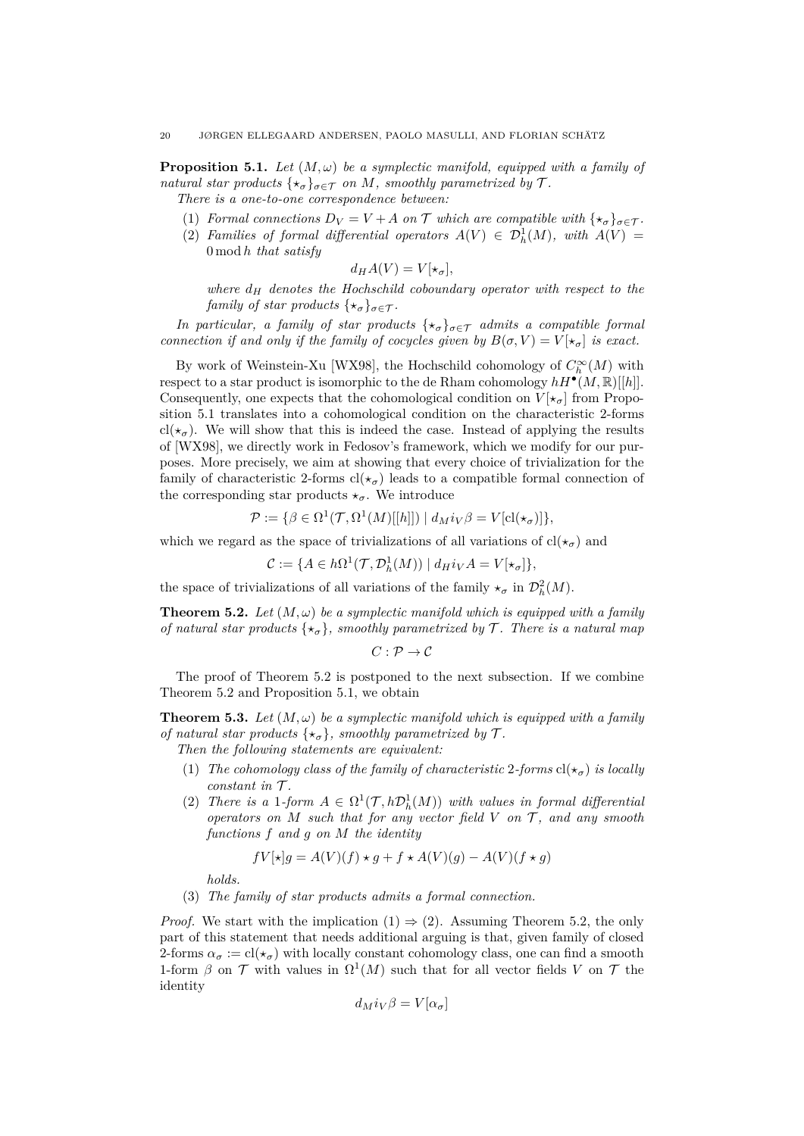<span id="page-19-0"></span>**Proposition 5.1.** *Let*  $(M, \omega)$  *be a symplectic manifold, equipped with a family of natural star products*  $\{ \star_{\sigma} \}_{\sigma \in \mathcal{T}}$  *on M, smoothly parametrized by*  $\mathcal{T}$ *.* 

*There is a one-to-one correspondence between:*

- (1) *Formal connections*  $D_V = V + A$  *on*  $\mathcal T$  *which are compatible with*  $\{*_\sigma\}_{\sigma \in \mathcal T}$ *.*
- (2) *Families of formal differential operators*  $A(V) \in \mathcal{D}_h^1(M)$ , with  $A(V) =$ 0 mod *h that satisfy*

$$
d_H A(V) = V[\star_\sigma],
$$

*where*  $d_H$  *denotes the Hochschild coboundary operator with respect to the family of star products*  $\{ \star_{\sigma} \}_{\sigma \in \mathcal{T}}$ *.* 

*In particular, a family of star products*  $\{\star_{\sigma}\}_{{\sigma \in \mathcal{T}}}$  *admits a compatible formal connection if and only if the family of cocycles given by*  $B(\sigma, V) = V[x_{\sigma}]$  *is exact.* 

By work of Weinstein-Xu [\[WX98\]](#page-25-13), the Hochschild cohomology of  $C^\infty_h(M)$  with respect to a star product is isomorphic to the de Rham cohomology  $hH^{\bullet}(M,\mathbb{R})[[h]]$ . Consequently, one expects that the cohomological condition on  $V[\star_{\sigma}]$  from Proposition [5.1](#page-19-0) translates into a cohomological condition on the characteristic 2-forms cl( $\star_{\sigma}$ ). We will show that this is indeed the case. Instead of applying the results of [\[WX98\]](#page-25-13), we directly work in Fedosov's framework, which we modify for our purposes. More precisely, we aim at showing that every choice of trivialization for the family of characteristic 2-forms  $cl(\star_{\sigma})$  leads to a compatible formal connection of the corresponding star products  $\star_{\sigma}$ . We introduce

$$
\mathcal{P} := \{ \beta \in \Omega^1(\mathcal{T}, \Omega^1(M)[[h]]) \mid d_M i_V \beta = V[\text{cl}(\star_{\sigma})] \},
$$

which we regard as the space of trivializations of all variations of  $cl(\star_{\sigma})$  and

$$
\mathcal{C} := \{ A \in h\Omega^1(\mathcal{T}, \mathcal{D}_h^1(M)) \mid d_H i_V A = V[\star_\sigma] \},
$$

the space of trivializations of all variations of the family  $\star_{\sigma}$  in  $\mathcal{D}_{h}^{2}(M)$ .

<span id="page-19-1"></span>**Theorem 5.2.** Let  $(M, \omega)$  be a symplectic manifold which is equipped with a family *of natural star products*  $\{\star_{\sigma}\}\$ *, smoothly parametrized by*  $\mathcal{T}$ *. There is a natural map* 

 $C: \mathcal{P} \to \mathcal{C}$ 

The proof of Theorem [5.2](#page-19-1) is postponed to the next subsection. If we combine Theorem [5.2](#page-19-1) and Proposition [5.1,](#page-19-0) we obtain

<span id="page-19-2"></span>**Theorem 5.3.** Let  $(M, \omega)$  be a symplectic manifold which is equipped with a family *of natural star products*  $\{\star_{\sigma}\}\$ *, smoothly parametrized by*  $\mathcal{T}$ *.* 

- *Then the following statements are equivalent:*
- (1) *The cohomology class of the family of characteristic* 2-forms  $cl(\star_{\sigma})$  *is locally constant in*  $\mathcal{T}$ *.*
- (2) *There is a* 1*-form*  $A \in \Omega^1(\mathcal{T}, h\mathcal{D}_h^1(M))$  *with values in formal differential operators on*  $M$  *such that for any vector field*  $V$  *on*  $T$ *, and any smooth functions f and g on M the identity*

$$
fV[\star]g = A(V)(f) \star g + f \star A(V)(g) - A(V)(f \star g)
$$

*holds.*

(3) *The family of star products admits a formal connection.*

*Proof.* We start with the implication  $(1) \Rightarrow (2)$ . Assuming Theorem [5.2,](#page-19-1) the only part of this statement that needs additional arguing is that, given family of closed 2-forms  $\alpha_{\sigma} := \text{cl}(\star_{\sigma})$  with locally constant cohomology class, one can find a smooth 1-form  $\beta$  on  $\mathcal T$  with values in  $\Omega^1(M)$  such that for all vector fields *V* on  $\mathcal T$  the identity

$$
d_M i_V \beta = V[\alpha_{\sigma}]
$$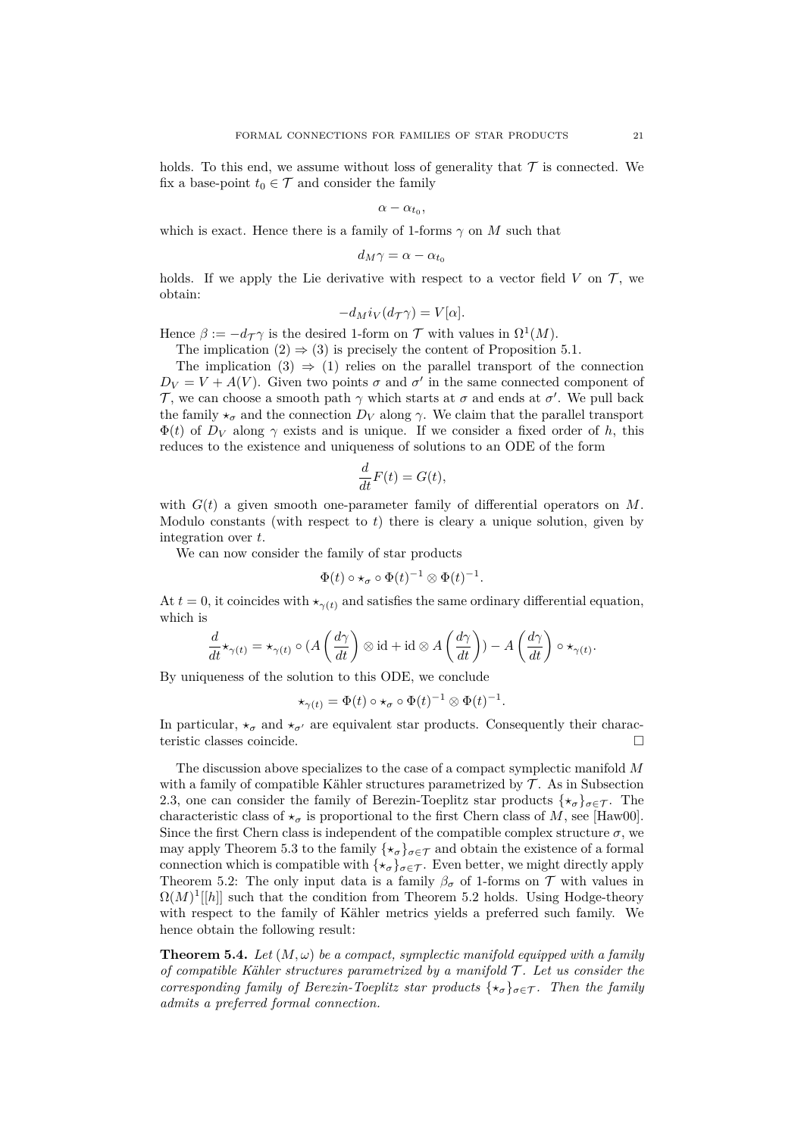holds. To this end, we assume without loss of generality that  $\mathcal T$  is connected. We fix a base-point  $t_0 \in \mathcal{T}$  and consider the family

$$
\alpha-\alpha_{t_0},
$$

which is exact. Hence there is a family of 1-forms  $\gamma$  on *M* such that

$$
d_M\gamma = \alpha - \alpha_{t_0}
$$

holds. If we apply the Lie derivative with respect to a vector field  $V$  on  $\mathcal{T}$ , we obtain:

$$
-d_M i_V (d_{\mathcal{T}} \gamma) = V[\alpha].
$$

Hence  $\beta := -d_{\mathcal{T}} \gamma$  is the desired 1-form on  $\mathcal{T}$  with values in  $\Omega^1(M)$ .

The implication  $(2) \Rightarrow (3)$  is precisely the content of Proposition [5.1.](#page-19-0)

The implication  $(3) \Rightarrow (1)$  relies on the parallel transport of the connection  $D_V = V + A(V)$ . Given two points  $\sigma$  and  $\sigma'$  in the same connected component of T, we can choose a smooth path  $\gamma$  which starts at  $\sigma$  and ends at  $\sigma'$ . We pull back the family  $\star_{\sigma}$  and the connection  $D_V$  along  $\gamma$ . We claim that the parallel transport  $\Phi(t)$  of  $D_V$  along  $\gamma$  exists and is unique. If we consider a fixed order of h, this reduces to the existence and uniqueness of solutions to an ODE of the form

$$
\frac{d}{dt}F(t) = G(t),
$$

with  $G(t)$  a given smooth one-parameter family of differential operators on M. Modulo constants (with respect to *t*) there is cleary a unique solution, given by integration over *t*.

We can now consider the family of star products

$$
\Phi(t) \circ \star_{\sigma} \circ \Phi(t)^{-1} \otimes \Phi(t)^{-1}.
$$

At  $t = 0$ , it coincides with  $\star_{\gamma(t)}$  and satisfies the same ordinary differential equation, which is

$$
\frac{d}{dt}\star_{\gamma(t)} = \star_{\gamma(t)}\circ (A\left(\frac{d\gamma}{dt}\right)\otimes \mathrm{id} + \mathrm{id}\otimes A\left(\frac{d\gamma}{dt}\right)) - A\left(\frac{d\gamma}{dt}\right)\circ \star_{\gamma(t)}.
$$

By uniqueness of the solution to this ODE, we conclude

$$
\star_{\gamma(t)} = \Phi(t) \circ \star_{\sigma} \circ \Phi(t)^{-1} \otimes \Phi(t)^{-1}.
$$

In particular,  $\star_{\sigma}$  and  $\star_{\sigma'}$  are equivalent star products. Consequently their characteristic classes coincide.

The discussion above specializes to the case of a compact symplectic manifold *M* with a family of compatible Kähler structures parametrized by  $\mathcal T$ . As in Subsection [2.3,](#page-7-1) one can consider the family of Berezin-Toeplitz star products  $\{\star_{\sigma}\}_{{\sigma}\in\mathcal{T}}$ . The characteristic class of  $\star_{\sigma}$  is proportional to the first Chern class of *M*, see [\[Haw00\]](#page-25-14). Since the first Chern class is independent of the compatible complex structure  $\sigma$ , we may apply Theorem [5.3](#page-19-2) to the family  $\{\star_{\sigma}\}_{{\sigma}\in\mathcal{T}}$  and obtain the existence of a formal connection which is compatible with  $\{\star_{\sigma}\}_{{\sigma}\in\mathcal{T}}$ . Even better, we might directly apply Theorem [5.2:](#page-19-1) The only input data is a family  $\beta_{\sigma}$  of 1-forms on T with values in  $\Omega(M)^1[[h]]$  such that the condition from Theorem [5.2](#page-19-1) holds. Using Hodge-theory with respect to the family of Kähler metrics yields a preferred such family. We hence obtain the following result:

<span id="page-20-0"></span>**Theorem 5.4.** Let  $(M, \omega)$  be a compact, symplectic manifold equipped with a family *of compatible Kähler structures parametrized by a manifold* T *. Let us consider the corresponding family of Berezin-Toeplitz star products*  $\{ \star_{\sigma} \}_{\sigma \in \mathcal{T}}$ *. Then the family admits a preferred formal connection.*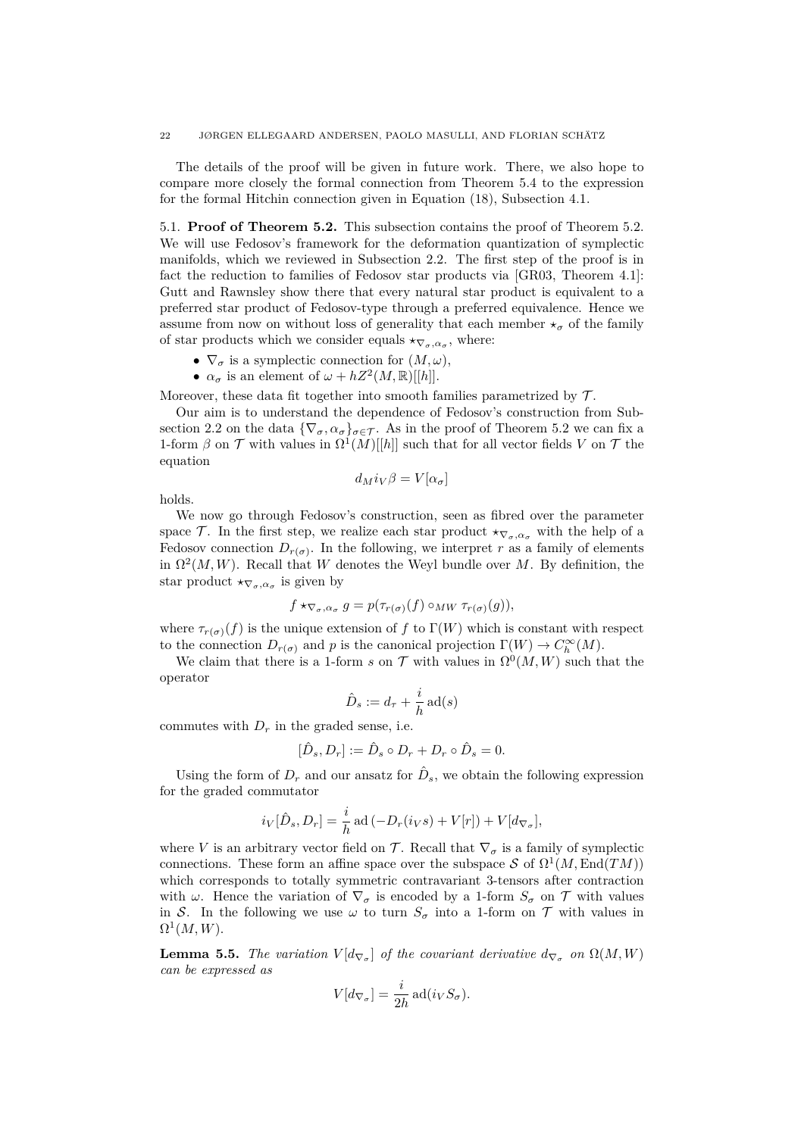#### 22 JØRGEN ELLEGAARD ANDERSEN, PAOLO MASULLI, AND FLORIAN SCHÄTZ

The details of the proof will be given in future work. There, we also hope to compare more closely the formal connection from Theorem [5.4](#page-20-0) to the expression for the formal Hitchin connection given in Equation [\(18\)](#page-12-1), Subsection [4.1.](#page-11-2)

5.1. **Proof of Theorem [5.2.](#page-19-1)** This subsection contains the proof of Theorem [5.2.](#page-19-1) We will use Fedosov's framework for the deformation quantization of symplectic manifolds, which we reviewed in Subsection [2.2.](#page-4-0) The first step of the proof is in fact the reduction to families of Fedosov star products via [\[GR03,](#page-25-9) Theorem 4.1]: Gutt and Rawnsley show there that every natural star product is equivalent to a preferred star product of Fedosov-type through a preferred equivalence. Hence we assume from now on without loss of generality that each member  $\star_{\sigma}$  of the family of star products which we consider equals  $\star_{\nabla_{\sigma}, \alpha_{\sigma}}$ , where:

- $\nabla_{\sigma}$  is a symplectic connection for  $(M, \omega)$ ,
- $\alpha_{\sigma}$  is an element of  $\omega + hZ^2(M, \mathbb{R})[[h]].$

Moreover, these data fit together into smooth families parametrized by  $\mathcal{T}$ .

Our aim is to understand the dependence of Fedosov's construction from Sub-section [2.2](#page-4-0) on the data  ${\nabla_{\sigma}, \alpha_{\sigma}}_{\sigma \in \mathcal{T}}$ . As in the proof of Theorem [5.2](#page-19-1) we can fix a 1-form  $\beta$  on  $\mathcal T$  with values in  $\Omega^1(M)[[h]]$  such that for all vector fields *V* on  $\mathcal T$  the equation

$$
d_M i_V \beta = V[\alpha_\sigma]
$$

holds.

We now go through Fedosov's construction, seen as fibred over the parameter space T. In the first step, we realize each star product  $\star_{\nabla_{\sigma},\alpha_{\sigma}}$  with the help of a Fedosov connection  $D_{r(\sigma)}$ . In the following, we interpret *r* as a family of elements in  $\Omega^2(M, W)$ . Recall that *W* denotes the Weyl bundle over *M*. By definition, the star product  $\star_{\nabla_{\sigma}, \alpha_{\sigma}}$  is given by

$$
f \star_{\nabla_{\sigma}, \alpha_{\sigma}} g = p(\tau_{r(\sigma)}(f) \circ_{MW} \tau_{r(\sigma)}(g)),
$$

where  $\tau_{r(\sigma)}(f)$  is the unique extension of f to  $\Gamma(W)$  which is constant with respect to the connection  $D_{r(\sigma)}$  and *p* is the canonical projection  $\Gamma(W) \to C_h^{\infty}(M)$ .

We claim that there is a 1-form *s* on  $\mathcal{T}$  with values in  $\Omega^0(M, W)$  such that the operator

$$
\hat{D}_s := d_\tau + \frac{i}{h} \operatorname{ad}(s)
$$

commutes with  $D<sub>r</sub>$  in the graded sense, i.e.

$$
[\hat{D}_s, D_r] := \hat{D}_s \circ D_r + D_r \circ \hat{D}_s = 0.
$$

Using the form of  $D_r$  and our ansatz for  $\hat{D}_s$ , we obtain the following expression for the graded commutator

$$
i_V[\hat{D}_s, D_r] = \frac{i}{h} \operatorname{ad}(-D_r(i_V s) + V[r]) + V[d_{\nabla_{\sigma}}],
$$

where *V* is an arbitrary vector field on  $\mathcal{T}$ . Recall that  $\nabla_{\sigma}$  is a family of symplectic connections. These form an affine space over the subspace S of  $\Omega^1(M,\text{End}(TM))$ which corresponds to totally symmetric contravariant 3-tensors after contraction with  $\omega$ . Hence the variation of  $\nabla_{\sigma}$  is encoded by a 1-form  $S_{\sigma}$  on  $\mathcal T$  with values in S. In the following we use  $\omega$  to turn  $S_{\sigma}$  into a 1-form on  $\mathcal T$  with values in  $\Omega^1(M,W).$ 

**Lemma 5.5.** *The variation*  $V[d_{\nabla_{\sigma}}]$  *of the covariant derivative*  $d_{\nabla_{\sigma}}$  *on*  $\Omega(M, W)$ *can be expressed as*

$$
V[d_{\nabla_{\sigma}}] = \frac{i}{2h} \operatorname{ad}(i_V S_{\sigma}).
$$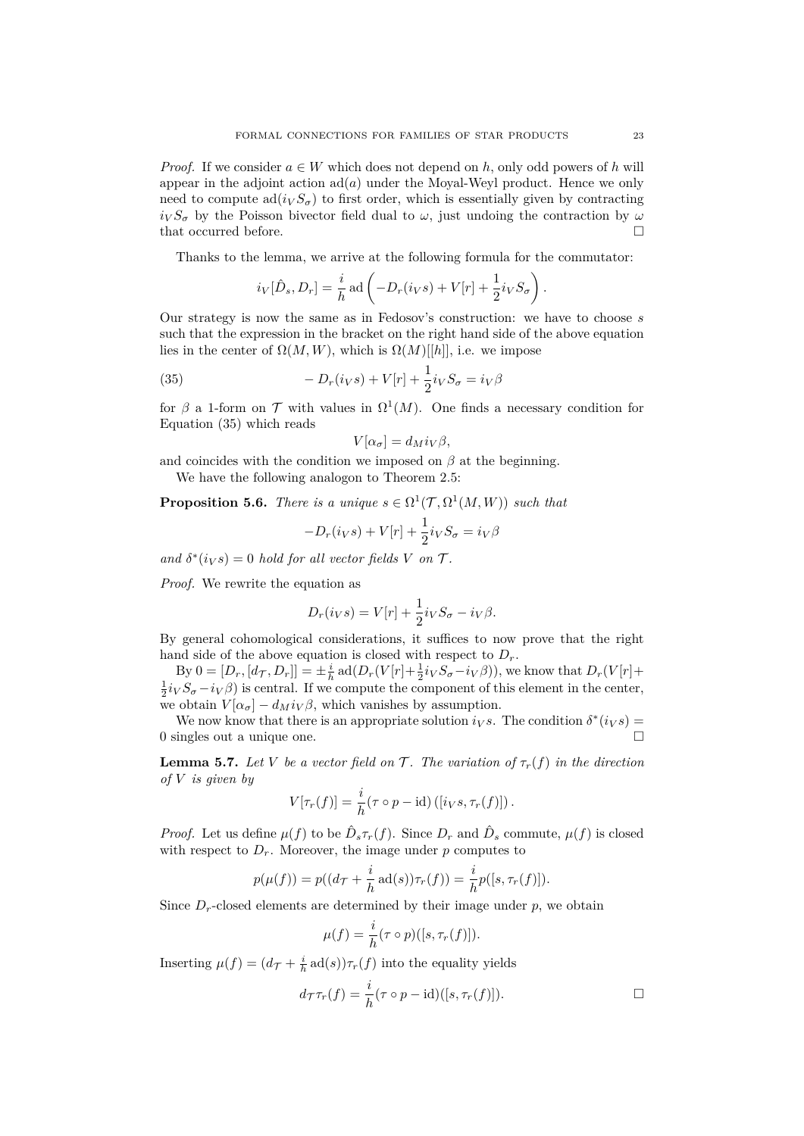*Proof.* If we consider  $a \in W$  which does not depend on *h*, only odd powers of *h* will appear in the adjoint action  $ad(a)$  under the Moyal-Weyl product. Hence we only need to compute  $\text{ad}(i_V S_{\sigma})$  to first order, which is essentially given by contracting  $i_V S_\sigma$  by the Poisson bivector field dual to *ω*, just undoing the contraction by *ω* that occurred before.

Thanks to the lemma, we arrive at the following formula for the commutator:

$$
i_V[\hat{D}_s, D_r] = \frac{i}{h} \operatorname{ad} \left( -D_r(i_V s) + V[r] + \frac{1}{2} i_V S_\sigma \right).
$$

Our strategy is now the same as in Fedosov's construction: we have to choose *s* such that the expression in the bracket on the right hand side of the above equation lies in the center of  $\Omega(M, W)$ , which is  $\Omega(M)[[h]]$ , i.e. we impose

(35) 
$$
-D_r(i_V s) + V[r] + \frac{1}{2}i_V S_\sigma = i_V \beta
$$

for  $\beta$  a 1-form on  $\mathcal T$  with values in  $\Omega^1(M)$ . One finds a necessary condition for Equation [\(35\)](#page-22-0) which reads

<span id="page-22-0"></span>
$$
V[\alpha_{\sigma}] = d_M i_V \beta,
$$

and coincides with the condition we imposed on  $\beta$  at the beginning.

We have the following analogon to Theorem [2.5:](#page-6-0)

<span id="page-22-1"></span>**Proposition 5.6.** *There is a unique*  $s \in \Omega^1(\mathcal{T}, \Omega^1(M, W))$  *such that* 

$$
-D_r(i_Vs) + V[r] + \frac{1}{2}i_V S_\sigma = i_V \beta
$$

*and*  $\delta^*(i_V s) = 0$  *hold for all vector fields V on*  $\mathcal{T}$ *.* 

*Proof.* We rewrite the equation as

$$
D_r(i_V s) = V[r] + \frac{1}{2} i_V S_\sigma - i_V \beta.
$$

By general cohomological considerations, it suffices to now prove that the right hand side of the above equation is closed with respect to  $D_r$ .

By  $0 = [D_r, [d_{\mathcal{T}}, D_r]] = \pm \frac{i}{h} \operatorname{ad}(D_r(V[r] + \frac{1}{2}i_V S_{\sigma} - i_V \beta)),$  we know that  $D_r(V[r] +$  $\frac{1}{2}i_V S_{\sigma} - i_V \beta$ ) is central. If we compute the component of this element in the center, we obtain  $V[\alpha_{\sigma}] - d_M i_V \beta$ , which vanishes by assumption.

We now know that there is an appropriate solution  $i_V s$ . The condition  $\delta^*(i_V s)$ 0 singles out a unique one.

<span id="page-22-2"></span>**Lemma 5.7.** *Let V be a vector field on*  $\mathcal{T}$ *. The variation of*  $\tau_r(f)$  *in the direction of V is given by*

$$
V[\tau_r(f)] = \frac{i}{h} (\tau \circ p - \mathrm{id}) ([i_V s, \tau_r(f)]).
$$

*Proof.* Let us define  $\mu(f)$  to be  $\hat{D}_s \tau_r(f)$ . Since  $D_r$  and  $\hat{D}_s$  commute,  $\mu(f)$  is closed with respect to  $D_r$ . Moreover, the image under  $p$  computes to

$$
p(\mu(f)) = p((d_{\mathcal{T}} + \frac{i}{h} \operatorname{ad}(s))\tau_r(f)) = \frac{i}{h}p([s, \tau_r(f)]).
$$

Since  $D_r$ -closed elements are determined by their image under  $p$ , we obtain

$$
\mu(f) = \frac{i}{h} (\tau \circ p)([s, \tau_r(f)]).
$$

Inserting  $\mu(f) = (d\tau + \frac{i}{h} \operatorname{ad}(s))\tau_r(f)$  into the equality yields

$$
d_{\mathcal{T}}\tau_r(f) = \frac{i}{h}(\tau \circ p - \mathrm{id})([s, \tau_r(f)]).
$$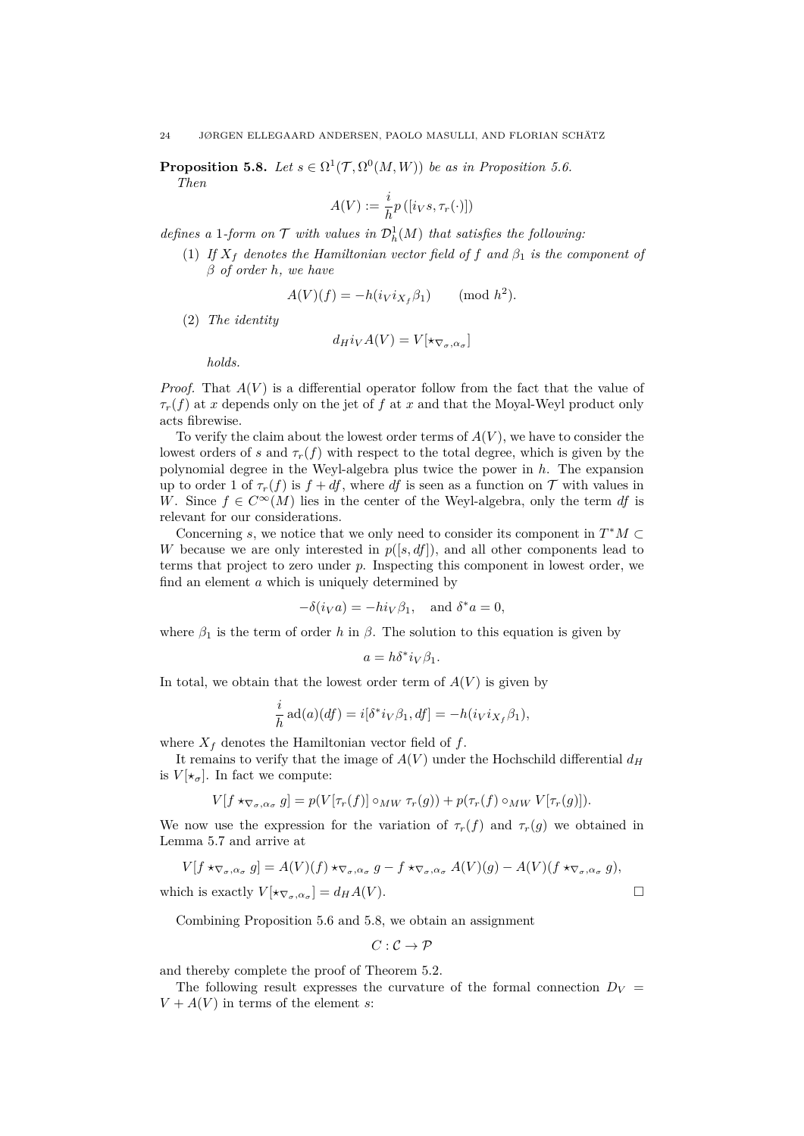<span id="page-23-0"></span>**Proposition 5.8.** *Let*  $s \in \Omega^1(\mathcal{T}, \Omega^0(M, W))$  *be as in Proposition [5.6.](#page-22-1)* 

*Then*

$$
A(V) := \frac{i}{h} p\left( [i_V s, \tau_r(\cdot)] \right)
$$

*defines a* 1*-form on*  $\mathcal{T}$  *with values in*  $\mathcal{D}_h^1(M)$  *that satisfies the following:* 

(1) *If*  $X_f$  *denotes the Hamiltonian vector field of*  $f$  *and*  $\beta_1$  *is the component of β of order h, we have*

$$
A(V)(f) = -h(i_V i_{X_f} \beta_1) \quad (\text{mod } h^2).
$$

(2) *The identity*

$$
d_H i_V A(V) = V[\star_{\nabla_{\sigma}, \alpha_{\sigma}}]
$$

*holds.*

*Proof.* That *A*(*V* ) is a differential operator follow from the fact that the value of  $\tau_r(f)$  at *x* depends only on the jet of *f* at *x* and that the Moyal-Weyl product only acts fibrewise.

To verify the claim about the lowest order terms of *A*(*V* ), we have to consider the lowest orders of *s* and  $\tau_r(f)$  with respect to the total degree, which is given by the polynomial degree in the Weyl-algebra plus twice the power in *h*. The expansion up to order 1 of  $\tau_r(f)$  is  $f + df$ , where *df* is seen as a function on  $\mathcal T$  with values in *W*. Since  $f \in C^{\infty}(M)$  lies in the center of the Weyl-algebra, only the term *df* is relevant for our considerations.

Concerning *s*, we notice that we only need to consider its component in  $T^*M \subset$ *W* because we are only interested in *p*([*s, df*])*,* and all other components lead to terms that project to zero under *p*. Inspecting this component in lowest order, we find an element *a* which is uniquely determined by

$$
-\delta(i_V a) = -hi_V \beta_1, \text{ and } \delta^* a = 0,
$$

where  $\beta_1$  is the term of order *h* in  $\beta$ . The solution to this equation is given by

$$
a = h\delta^* i_V \beta_1.
$$

In total, we obtain that the lowest order term of  $A(V)$  is given by

$$
\frac{i}{h} \operatorname{ad}(a)(df) = i[\delta^* i_V \beta_1, df] = -h(i_V i_{X_f} \beta_1),
$$

where  $X_f$  denotes the Hamiltonian vector field of  $f$ .

It remains to verify that the image of  $A(V)$  under the Hochschild differential  $d_H$ is  $V[\star_{\sigma}]$ . In fact we compute:

$$
V[f \star_{\nabla_{\sigma}, \alpha_{\sigma}} g] = p(V[\tau_r(f)] \circ_{MW} \tau_r(g)) + p(\tau_r(f) \circ_{MW} V[\tau_r(g)]).
$$

We now use the expression for the variation of  $\tau_r(f)$  and  $\tau_r(g)$  we obtained in Lemma [5.7](#page-22-2) and arrive at

$$
V[f \star_{\nabla_{\sigma}, \alpha_{\sigma}} g] = A(V)(f) \star_{\nabla_{\sigma}, \alpha_{\sigma}} g - f \star_{\nabla_{\sigma}, \alpha_{\sigma}} A(V)(g) - A(V)(f \star_{\nabla_{\sigma}, \alpha_{\sigma}} g),
$$
  
which is exactly  $V[\star_{\nabla_{\sigma}, \alpha_{\sigma}}] = d_H A(V).$ 

Combining Proposition [5.6](#page-22-1) and [5.8,](#page-23-0) we obtain an assignment

$$
C:\mathcal{C}\to\mathcal{P}
$$

and thereby complete the proof of Theorem [5.2.](#page-19-1)

The following result expresses the curvature of the formal connection  $D_V$  =  $V + A(V)$  in terms of the element *s*: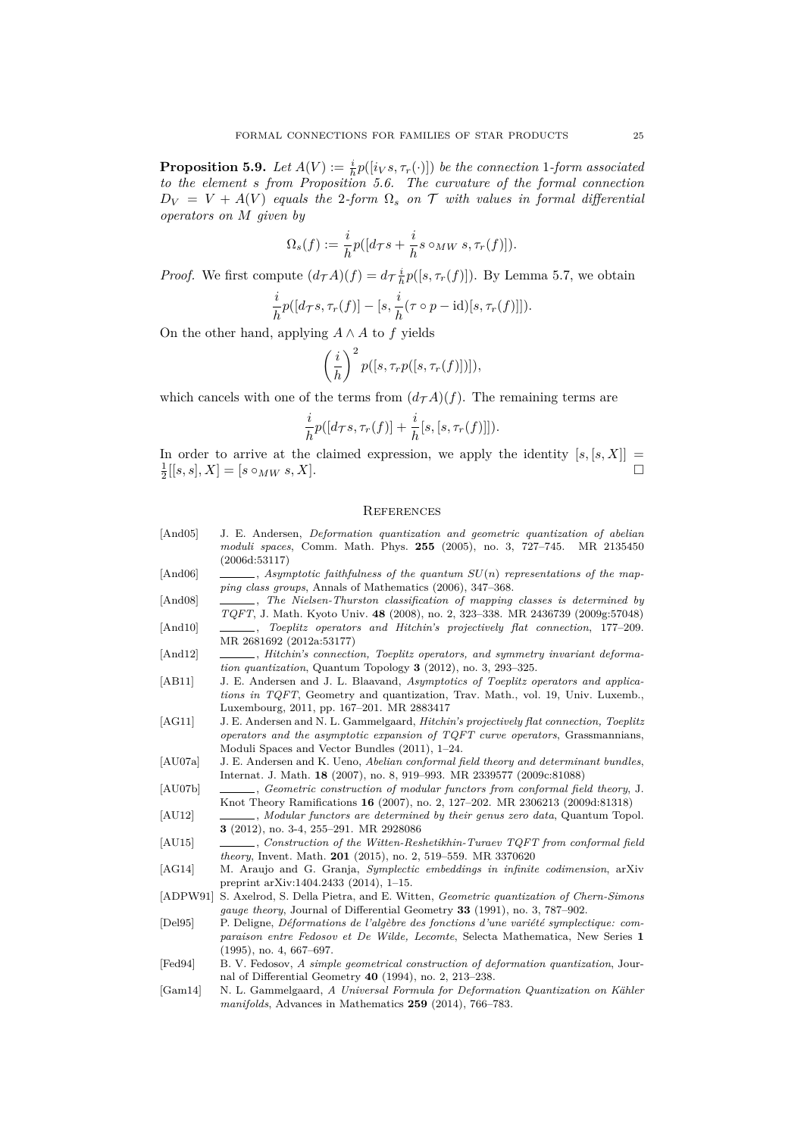**Proposition 5.9.** *Let*  $A(V) := \frac{i}{h} p([i_V s, \tau_r(\cdot)])$  *be the connection* 1*-form associated to the element s from Proposition [5.6.](#page-22-1) The curvature of the formal connection*  $D_V = V + A(V)$  *equals the* 2*-form*  $\Omega_s$  *on* T *with values in formal differential operators on M given by*

$$
\Omega_s(f) := \frac{i}{h} p([d_{\mathcal{T}} s + \frac{i}{h} s \circ_{MW} s, \tau_r(f)]).
$$

*Proof.* We first compute  $(d_{\mathcal{T}}A)(f) = d_{\mathcal{T}}\frac{i}{h}p([s,\tau_r(f)])$ . By Lemma [5.7,](#page-22-2) we obtain

$$
\frac{i}{h}p([d_{\mathcal{T}}s,\tau_r(f)]-[s,\frac{i}{h}(\tau\circ p-\text{id})[s,\tau_r(f)]]).
$$

On the other hand, applying  $A \wedge A$  to  $f$  yields

$$
\left(\frac{i}{h}\right)^2 p([s, \tau_r p([s, \tau_r(f)])]),
$$

which cancels with one of the terms from  $(d<sub>T</sub>A)(f)$ . The remaining terms are

$$
\frac{i}{h}p([d_{\mathcal{T}}s,\tau_r(f)]+\frac{i}{h}[s,[s,\tau_r(f)]]).
$$

In order to arrive at the claimed expression, we apply the identity  $[s, [s, X]] =$  $\frac{1}{2}[[s, s], X] = [s \circ_{MW} s, X].$ 

### **REFERENCES**

- <span id="page-24-10"></span>[And05] J. E. Andersen, *Deformation quantization and geometric quantization of abelian moduli spaces*, Comm. Math. Phys. **255** (2005), no. 3, 727–745. MR 2135450 (2006d:53117)
- <span id="page-24-6"></span>[And06] , *Asymptotic faithfulness of the quantum*  $SU(n)$  *representations of the mapping class groups*, Annals of Mathematics (2006), 347–368.
- <span id="page-24-9"></span><span id="page-24-8"></span>[And08] , *The Nielsen-Thurston classification of mapping classes is determined by TQFT*, J. Math. Kyoto Univ. **48** (2008), no. 2, 323–338. MR 2436739 (2009g:57048) [And10] , *Toeplitz operators and Hitchin's projectively flat connection*, 177-209. MR 2681692 (2012a:53177)
- <span id="page-24-1"></span>[And12]  $\qquad \qquad$ , *Hitchin's connection, Toeplitz operators, and symmetry invariant deformation quantization*, Quantum Topology **3** (2012), no. 3, 293–325.
- <span id="page-24-11"></span>[AB11] J. E. Andersen and J. L. Blaavand, *Asymptotics of Toeplitz operators and applications in TQFT*, Geometry and quantization, Trav. Math., vol. 19, Univ. Luxemb., Luxembourg, 2011, pp. 167–201. MR 2883417
- <span id="page-24-7"></span>[AG11] J. E. Andersen and N. L. Gammelgaard, *Hitchin's projectively flat connection, Toeplitz operators and the asymptotic expansion of TQFT curve operators*, Grassmannians, Moduli Spaces and Vector Bundles (2011), 1–24.
- <span id="page-24-3"></span>[AU07a] J. E. Andersen and K. Ueno, *Abelian conformal field theory and determinant bundles*, Internat. J. Math. **18** (2007), no. 8, 919–993. MR 2339577 (2009c:81088)
- <span id="page-24-2"></span>[AU07b] , *Geometric construction of modular functors from conformal field theory*, J. Knot Theory Ramifications **16** (2007), no. 2, 127–202. MR 2306213 (2009d:81318)
- <span id="page-24-4"></span>[AU12] , *Modular functors are determined by their genus zero data*, Quantum Topol. **3** (2012), no. 3-4, 255–291. MR 2928086
- <span id="page-24-5"></span>[AU15] , *Construction of the Witten-Reshetikhin-Turaev TQFT from conformal field theory*, Invent. Math. **201** (2015), no. 2, 519–559. MR 3370620
- <span id="page-24-15"></span>[AG14] M. Araujo and G. Granja, *Symplectic embeddings in infinite codimension*, arXiv preprint arXiv:1404.2433 (2014), 1–15.
- <span id="page-24-0"></span>[ADPW91] S. Axelrod, S. Della Pietra, and E. Witten, *Geometric quantization of Chern-Simons gauge theory*, Journal of Differential Geometry **33** (1991), no. 3, 787–902.
- <span id="page-24-13"></span>[Del95] P. Deligne, *Déformations de l'algèbre des fonctions d'une variété symplectique: comparaison entre Fedosov et De Wilde, Lecomte*, Selecta Mathematica, New Series **1** (1995), no. 4, 667–697.
- <span id="page-24-12"></span>[Fed94] B. V. Fedosov, *A simple geometrical construction of deformation quantization*, Journal of Differential Geometry **40** (1994), no. 2, 213–238.
- <span id="page-24-14"></span>[Gam14] N. L. Gammelgaard, *A Universal Formula for Deformation Quantization on Kähler manifolds*, Advances in Mathematics **259** (2014), 766–783.